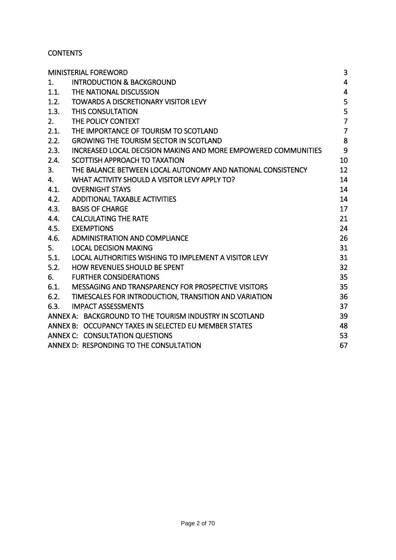## **CONTENTS**

| <b>MINISTERIAL FOREWORD</b>                                            | 3                       |
|------------------------------------------------------------------------|-------------------------|
| <b>INTRODUCTION &amp; BACKGROUND</b><br>1.                             | $\overline{4}$          |
| 1.1.<br>THE NATIONAL DISCUSSION                                        | $\overline{\mathbf{4}}$ |
| <b>TOWARDS A DISCRETIONARY VISITOR LEVY</b><br>1.2.                    | 5                       |
| 1.3.<br><b>THIS CONSULTATION</b>                                       | 5                       |
| THE POLICY CONTEXT<br>2.                                               | $\overline{7}$          |
| THE IMPORTANCE OF TOURISM TO SCOTLAND<br>2.1.                          | $\overline{7}$          |
| 2.2.<br><b>GROWING THE TOURISM SECTOR IN SCOTLAND</b>                  | 8                       |
| 2.3.<br>INCREASED LOCAL DECISION MAKING AND MORE EMPOWERED COMMUNITIES | 9                       |
| SCOTTISH APPROACH TO TAXATION<br>2.4.                                  | 10                      |
| THE BALANCE BETWEEN LOCAL AUTONOMY AND NATIONAL CONSISTENCY<br>3.      | 12                      |
| WHAT ACTIVITY SHOULD A VISITOR LEVY APPLY TO?<br>4.                    | 14                      |
| <b>OVERNIGHT STAYS</b><br>4.1.                                         | 14                      |
| <b>ADDITIONAL TAXABLE ACTIVITIES</b><br>4.2.                           | 14                      |
| 4.3.<br><b>BASIS OF CHARGE</b>                                         | 17                      |
| <b>CALCULATING THE RATE</b><br>4.4.                                    | 21                      |
| <b>EXEMPTIONS</b><br>4.5.                                              | 24                      |
| ADMINISTRATION AND COMPLIANCE<br>4.6.                                  | 26                      |
| 5.<br><b>LOCAL DECISION MAKING</b>                                     | 31                      |
| 5.1.<br>LOCAL AUTHORITIES WISHING TO IMPLEMENT A VISITOR LEVY          | 31                      |
| 5.2.<br><b>HOW REVENUES SHOULD BE SPENT</b>                            | 32                      |
| <b>FURTHER CONSIDERATIONS</b><br>6.                                    | 35                      |
| 6.1.<br>MESSAGING AND TRANSPARENCY FOR PROSPECTIVE VISITORS            | 35                      |
| 6.2.<br>TIMESCALES FOR INTRODUCTION, TRANSITION AND VARIATION          | 36                      |
| 6.3.<br><b>IMPACT ASSESSMENTS</b>                                      | 37                      |
| ANNEX A: BACKGROUND TO THE TOURISM INDUSTRY IN SCOTLAND                | 39                      |
| ANNEX B: OCCUPANCY TAXES IN SELECTED EU MEMBER STATES                  | 48                      |
| ANNEX C: CONSULTATION QUESTIONS                                        | 53                      |
| ANNEX D: RESPONDING TO THE CONSULTATION                                | 67                      |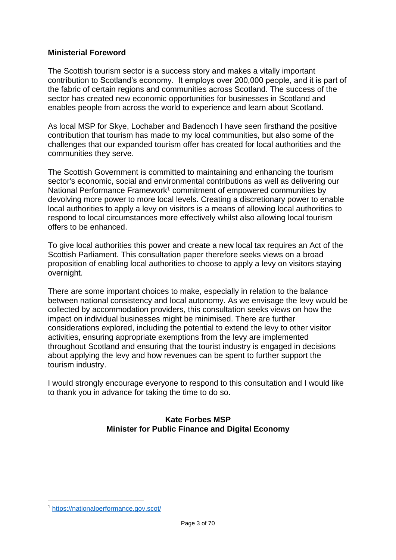### <span id="page-2-0"></span>**Ministerial Foreword**

The Scottish tourism sector is a success story and makes a vitally important contribution to Scotland's economy. It employs over 200,000 people, and it is part of the fabric of certain regions and communities across Scotland. The success of the sector has created new economic opportunities for businesses in Scotland and enables people from across the world to experience and learn about Scotland.

As local MSP for Skye, Lochaber and Badenoch I have seen firsthand the positive contribution that tourism has made to my local communities, but also some of the challenges that our expanded tourism offer has created for local authorities and the communities they serve.

The Scottish Government is committed to maintaining and enhancing the tourism sector's economic, social and environmental contributions as well as delivering our National Performance Framework<sup>1</sup> commitment of empowered communities by devolving more power to more local levels. Creating a discretionary power to enable local authorities to apply a levy on visitors is a means of allowing local authorities to respond to local circumstances more effectively whilst also allowing local tourism offers to be enhanced.

To give local authorities this power and create a new local tax requires an Act of the Scottish Parliament. This consultation paper therefore seeks views on a broad proposition of enabling local authorities to choose to apply a levy on visitors staying overnight.

There are some important choices to make, especially in relation to the balance between national consistency and local autonomy. As we envisage the levy would be collected by accommodation providers, this consultation seeks views on how the impact on individual businesses might be minimised. There are further considerations explored, including the potential to extend the levy to other visitor activities, ensuring appropriate exemptions from the levy are implemented throughout Scotland and ensuring that the tourist industry is engaged in decisions about applying the levy and how revenues can be spent to further support the tourism industry.

I would strongly encourage everyone to respond to this consultation and I would like to thank you in advance for taking the time to do so.

### **Kate Forbes MSP Minister for Public Finance and Digital Economy**

1

<sup>1</sup> <https://nationalperformance.gov.scot/>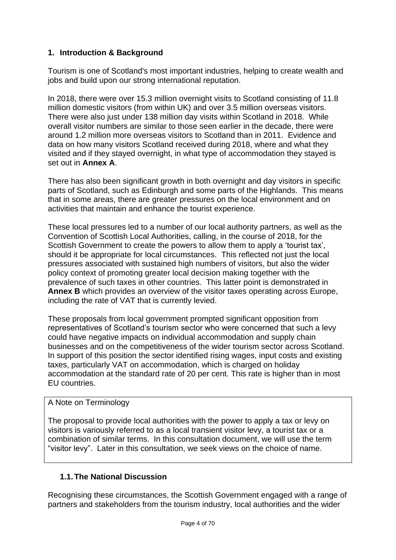# <span id="page-3-0"></span>**1. Introduction & Background**

Tourism is one of Scotland's most important industries, helping to create wealth and jobs and build upon our strong international reputation.

In 2018, there were over 15.3 million overnight visits to Scotland consisting of 11.8 million domestic visitors (from within UK) and over 3.5 million overseas visitors. There were also just under 138 million day visits within Scotland in 2018. While overall visitor numbers are similar to those seen earlier in the decade, there were around 1.2 million more overseas visitors to Scotland than in 2011. Evidence and data on how many visitors Scotland received during 2018, where and what they visited and if they stayed overnight, in what type of accommodation they stayed is set out in **[Annex A](#page-38-0)**.

There has also been significant growth in both overnight and day visitors in specific parts of Scotland, such as Edinburgh and some parts of the Highlands. This means that in some areas, there are greater pressures on the local environment and on activities that maintain and enhance the tourist experience.

These local pressures led to a number of our local authority partners, as well as the Convention of Scottish Local Authorities, calling, in the course of 2018, for the Scottish Government to create the powers to allow them to apply a 'tourist tax', should it be appropriate for local circumstances. This reflected not just the local pressures associated with sustained high numbers of visitors, but also the wider policy context of promoting greater local decision making together with the prevalence of such taxes in other countries. This latter point is demonstrated in **[Annex B](#page-47-0)** which provides an overview of the visitor taxes operating across Europe, including the rate of VAT that is currently levied.

These proposals from local government prompted significant opposition from representatives of Scotland's tourism sector who were concerned that such a levy could have negative impacts on individual accommodation and supply chain businesses and on the competitiveness of the wider tourism sector across Scotland. In support of this position the sector identified rising wages, input costs and existing taxes, particularly VAT on accommodation, which is charged on holiday accommodation at the standard rate of 20 per cent. This rate is higher than in most EU countries.

#### A Note on Terminology

The proposal to provide local authorities with the power to apply a tax or levy on visitors is variously referred to as a local transient visitor levy, a tourist tax or a combination of similar terms. In this consultation document, we will use the term "visitor levy". Later in this consultation, we seek views on the choice of name.

# <span id="page-3-1"></span>**1.1.The National Discussion**

Recognising these circumstances, the Scottish Government engaged with a range of partners and stakeholders from the tourism industry, local authorities and the wider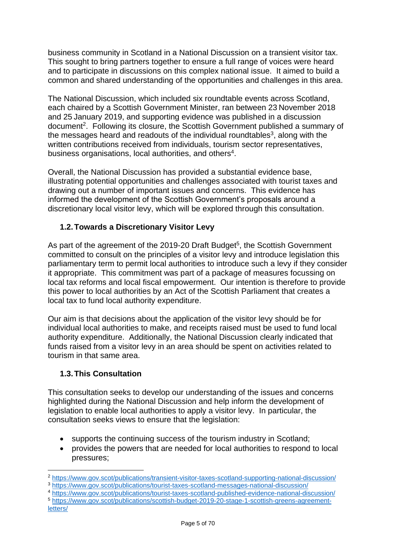business community in Scotland in a National Discussion on a transient visitor tax. This sought to bring partners together to ensure a full range of voices were heard and to participate in discussions on this complex national issue. It aimed to build a common and shared understanding of the opportunities and challenges in this area.

The National Discussion, which included six roundtable events across Scotland, each chaired by a Scottish Government Minister, ran between 23 November 2018 and 25 January 2019, and supporting evidence was published in a discussion document<sup>2</sup>. Following its closure, the Scottish Government published a summary of the messages heard and readouts of the individual roundtables<sup>3</sup>, along with the written contributions received from individuals, tourism sector representatives, business organisations, local authorities, and others<sup>4</sup>.

Overall, the National Discussion has provided a substantial evidence base, illustrating potential opportunities and challenges associated with tourist taxes and drawing out a number of important issues and concerns. This evidence has informed the development of the Scottish Government's proposals around a discretionary local visitor levy, which will be explored through this consultation.

# <span id="page-4-0"></span>**1.2.Towards a Discretionary Visitor Levy**

As part of the agreement of the 2019-20 Draft Budget<sup>5</sup>, the Scottish Government committed to consult on the principles of a visitor levy and introduce legislation this parliamentary term to permit local authorities to introduce such a levy if they consider it appropriate. This commitment was part of a package of measures focussing on local tax reforms and local fiscal empowerment. Our intention is therefore to provide this power to local authorities by an Act of the Scottish Parliament that creates a local tax to fund local authority expenditure.

Our aim is that decisions about the application of the visitor levy should be for individual local authorities to make, and receipts raised must be used to fund local authority expenditure. Additionally, the National Discussion clearly indicated that funds raised from a visitor levy in an area should be spent on activities related to tourism in that same area.

# <span id="page-4-1"></span>**1.3.This Consultation**

This consultation seeks to develop our understanding of the issues and concerns highlighted during the National Discussion and help inform the development of legislation to enable local authorities to apply a visitor levy. In particular, the consultation seeks views to ensure that the legislation:

- supports the continuing success of the tourism industry in Scotland;
- provides the powers that are needed for local authorities to respond to local pressures;

<sup>4</sup> <https://www.gov.scot/publications/tourist-taxes-scotland-published-evidence-national-discussion/> <sup>5</sup> [https://www.gov.scot/publications/scottish-budget-2019-20-stage-1-scottish-greens-agreement](https://www.gov.scot/publications/scottish-budget-2019-20-stage-1-scottish-greens-agreement-letters/)[letters/](https://www.gov.scot/publications/scottish-budget-2019-20-stage-1-scottish-greens-agreement-letters/)

<sup>1</sup> <sup>2</sup> <https://www.gov.scot/publications/transient-visitor-taxes-scotland-supporting-national-discussion/> <sup>3</sup> <https://www.gov.scot/publications/tourist-taxes-scotland-messages-national-discussion/>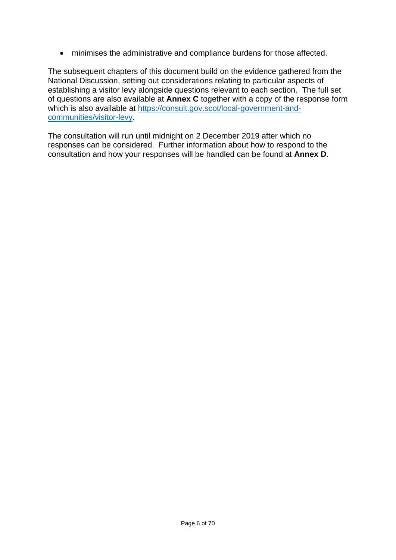• minimises the administrative and compliance burdens for those affected.

The subsequent chapters of this document build on the evidence gathered from the National Discussion, setting out considerations relating to particular aspects of establishing a visitor levy alongside questions relevant to each section. The full set of questions are also available at **[Annex C](#page-52-0)** together with a copy of the response form which is also available at [https://consult.gov.scot/local-government-and](https://consult.gov.scot/local-government-and-communities/visitor-levy)[communities/visitor-levy.](https://consult.gov.scot/local-government-and-communities/visitor-levy)

The consultation will run until midnight on 2 December 2019 after which no responses can be considered. Further information about how to respond to the consultation and how your responses will be handled can be found at **[Annex D](#page-66-1)**.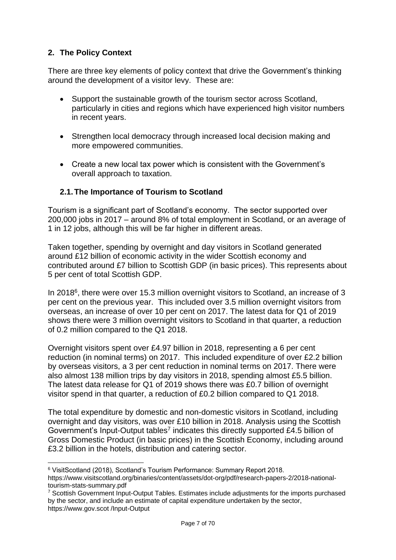# <span id="page-6-0"></span>**2. The Policy Context**

There are three key elements of policy context that drive the Government's thinking around the development of a visitor levy. These are:

- Support the sustainable growth of the tourism sector across Scotland, particularly in cities and regions which have experienced high visitor numbers in recent years.
- Strengthen local democracy through increased local decision making and more empowered communities.
- Create a new local tax power which is consistent with the Government's overall approach to taxation.

# <span id="page-6-1"></span>**2.1.The Importance of Tourism to Scotland**

Tourism is a significant part of Scotland's economy. The sector supported over 200,000 jobs in 2017 – around 8% of total employment in Scotland, or an average of 1 in 12 jobs, although this will be far higher in different areas.

Taken together, spending by overnight and day visitors in Scotland generated around £12 billion of economic activity in the wider Scottish economy and contributed around £7 billion to Scottish GDP (in basic prices). This represents about 5 per cent of total Scottish GDP.

In 2018<sup>6</sup>, there were over 15.3 million overnight visitors to Scotland, an increase of 3 per cent on the previous year. This included over 3.5 million overnight visitors from overseas, an increase of over 10 per cent on 2017.

Overnight visitors spent over £4.97 billion in 2018, representing a 6 per cent reduction (in nominal terms) on 2017. This included expenditure of over £2.2 billion by overseas visitors, a 3 per cent reduction in nominal terms on 2017. There were also almost 138 million trips by day visitors in 2018, spending almost £5.5 billion.

The total expenditure by domestic and non-domestic visitors in Scotland, including overnight and day visitors, was over £10 billion in 2018. Analysis using the Scottish Government's Input-Output tables<sup>7</sup> indicates this directly supported £4.5 billion of Gross Domestic Product (in basic prices) in the Scottish Economy, including around £3.2 billion in the hotels, distribution and catering sector.

<sup>6</sup> VisitScotland (2018), Scotland's Tourism Performance: Summary Report 2018.

https://www.visitscotland.org/binaries/content/assets/dot-org/pdf/research-papers-2/2018-nationaltourism-stats-summary.pdf

<sup>&</sup>lt;sup>7</sup> Scottish Government Input-Output Tables. Estimates include adjustments for the imports purchased by the sector, and include an estimate of capital expenditure undertaken by the sector, https://www.gov.scot /Input-Output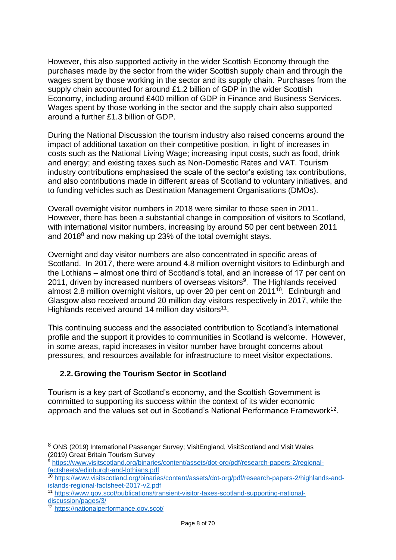However, this also supported activity in the wider Scottish Economy through the purchases made by the sector from the wider Scottish supply chain and through the wages spent by those working in the sector and its supply chain. Purchases from the supply chain accounted for around £1.2 billion of GDP in the wider Scottish Economy, including around £400 million of GDP in Finance and Business Services. Wages spent by those working in the sector and the supply chain also supported around a further £1.3 billion of GDP.

During the National Discussion the tourism industry also raised concerns around the impact of additional taxation on their competitive position, in light of increases in costs such as the National Living Wage; increasing input costs, such as food, drink and energy; and existing taxes such as Non-Domestic Rates and VAT. Tourism industry contributions emphasised the scale of the sector's existing tax contributions, and also contributions made in different areas of Scotland to voluntary initiatives, and to funding vehicles such as Destination Management Organisations (DMOs).

Overall overnight visitor numbers in 2018 were similar to those seen in 2011. However, there has been a substantial change in composition of visitors to Scotland, with international visitor numbers, increasing by around 50 per cent between 2011 and 2018<sup>8</sup> and now making up 23% of the total overnight stays.

Overnight and day visitor numbers are also concentrated in specific areas of Scotland. In 2017, there were around 4.8 million overnight visitors to Edinburgh and the Lothians – almost one third of Scotland's total, and an increase of 17 per cent on 2011, driven by increased numbers of overseas visitors<sup>9</sup>. The Highlands received almost 2.8 million overnight visitors, up over 20 per cent on 2011<sup>10</sup>. Edinburgh and Glasgow also received around 20 million day visitors respectively in 2017, while the Highlands received around 14 million day visitors<sup>11</sup>.

This continuing success and the associated contribution to Scotland's international profile and the support it provides to communities in Scotland is welcome. However, in some areas, rapid increases in visitor number have brought concerns about pressures, and resources available for infrastructure to meet visitor expectations.

# <span id="page-7-0"></span>**2.2.Growing the Tourism Sector in Scotland**

Tourism is a key part of Scotland's economy, and the Scottish Government is committed to supporting its success within the context of its wider economic approach and the values set out in Scotland's National Performance Framework<sup>12</sup>.

<u>.</u>

<sup>&</sup>lt;sup>8</sup> ONS (2019) International Passenger Survey; VisitEngland, VisitScotland and Visit Wales (2019) Great Britain Tourism Survey

<sup>9</sup> [https://www.visitscotland.org/binaries/content/assets/dot-org/pdf/research-papers-2/regional](https://www.visitscotland.org/binaries/content/assets/dot-org/pdf/research-papers-2/regional-factsheets/edinburgh-and-lothians.pdf)[factsheets/edinburgh-and-lothians.pdf](https://www.visitscotland.org/binaries/content/assets/dot-org/pdf/research-papers-2/regional-factsheets/edinburgh-and-lothians.pdf)

<sup>10</sup> [https://www.visitscotland.org/binaries/content/assets/dot-org/pdf/research-papers-2/highlands-and](https://www.visitscotland.org/binaries/content/assets/dot-org/pdf/research-papers-2/highlands-and-islands-regional-factsheet-2017-v2.pdf)[islands-regional-factsheet-2017-v2.pdf](https://www.visitscotland.org/binaries/content/assets/dot-org/pdf/research-papers-2/highlands-and-islands-regional-factsheet-2017-v2.pdf)

<sup>11</sup> [https://www.gov.scot/publications/transient-visitor-taxes-scotland-supporting-national](https://www.gov.scot/publications/transient-visitor-taxes-scotland-supporting-national-discussion/pages/3/)[discussion/pages/3/](https://www.gov.scot/publications/transient-visitor-taxes-scotland-supporting-national-discussion/pages/3/)

<sup>12</sup> <https://nationalperformance.gov.scot/>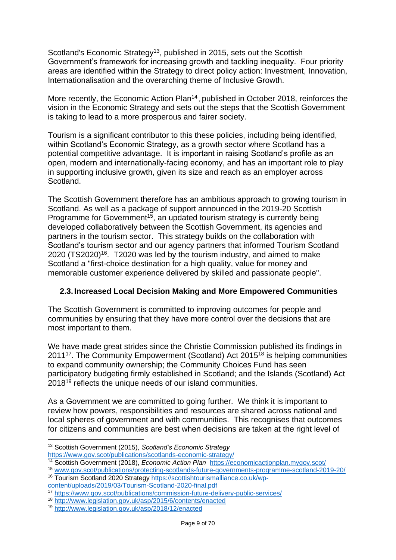Scotland's Economic Strategy<sup>13</sup>, published in 2015, sets out the Scottish Government's framework for increasing growth and tackling inequality. Four priority areas are identified within the Strategy to direct policy action: Investment, Innovation, Internationalisation and the overarching theme of Inclusive Growth.

More recently, the Economic Action Plan<sup>14</sup>, published in October 2018, reinforces the vision in the Economic Strategy and sets out the steps that the Scottish Government is taking to lead to a more prosperous and fairer society.

Tourism is a significant contributor to this these policies, including being identified, within Scotland's Economic Strategy, as a growth sector where Scotland has a potential competitive advantage. It is important in raising Scotland's profile as an open, modern and internationally-facing economy, and has an important role to play in supporting inclusive growth, given its size and reach as an employer across Scotland.

The Scottish Government therefore has an ambitious approach to growing tourism in Scotland. As well as a package of support announced in the 2019-20 Scottish Programme for Government<sup>15</sup>, an updated tourism strategy is currently being developed collaboratively between the Scottish Government, its agencies and partners in the tourism sector. This strategy builds on the collaboration with Scotland's tourism sector and our agency partners that informed Tourism Scotland  $2020$  (TS2020)<sup>16</sup>. T2020 was led by the tourism industry, and aimed to make Scotland a "first-choice destination for a high quality, value for money and memorable customer experience delivered by skilled and passionate people".

# <span id="page-8-0"></span>**2.3.Increased Local Decision Making and More Empowered Communities**

The Scottish Government is committed to improving outcomes for people and communities by ensuring that they have more control over the decisions that are most important to them.

We have made great strides since the Christie Commission published its findings in 2011<sup>17</sup>. The Community Empowerment (Scotland) Act 2015<sup>18</sup> is helping communities to expand community ownership; the Community Choices Fund has seen participatory budgeting firmly established in Scotland; and the Islands (Scotland) Act 2018<sup>19</sup> reflects the unique needs of our island communities.

As a Government we are committed to going further. We think it is important to review how powers, responsibilities and resources are shared across national and local spheres of government and with communities. This recognises that outcomes for citizens and communities are best when decisions are taken at the right level of

1

<sup>13</sup> Scottish Government (2015), *Scotland's Economic Strategy*

<https://www.gov.scot/publications/scotlands-economic-strategy/>

<sup>14</sup> Scottish Government (2018), *Economic Action Plan* <https://economicactionplan.mygov.scot/>

<sup>15</sup> [www.gov.scot/publications/protecting-scotlands-future-governments-programme-scotland-2019-20/](http://www.gov.scot/publications/protecting-scotlands-future-governments-programme-scotland-2019-20/)

<sup>16</sup> Tourism Scotland 2020 Strategy [https://scottishtourismalliance.co.uk/wp](https://scottishtourismalliance.co.uk/wp-content/uploads/2019/03/Tourism-Scotland-2020-final.pdf)[content/uploads/2019/03/Tourism-Scotland-2020-final.pdf](https://scottishtourismalliance.co.uk/wp-content/uploads/2019/03/Tourism-Scotland-2020-final.pdf)

<sup>17</sup> <https://www.gov.scot/publications/commission-future-delivery-public-services/>

<sup>18</sup> <http://www.legislation.gov.uk/asp/2015/6/contents/enacted>

<sup>19</sup> <http://www.legislation.gov.uk/asp/2018/12/enacted>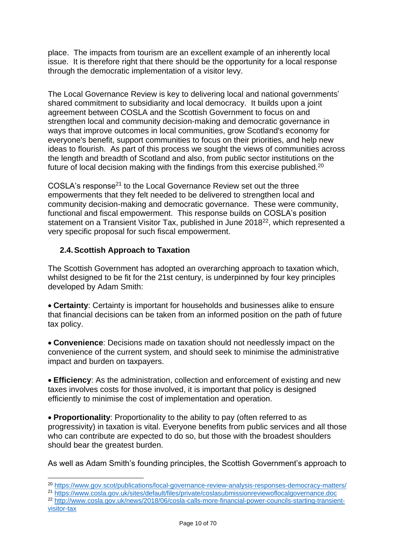place. The impacts from tourism are an excellent example of an inherently local issue. It is therefore right that there should be the opportunity for a local response through the democratic implementation of a visitor levy.

The Local Governance Review is key to delivering local and national governments' shared commitment to subsidiarity and local democracy. It builds upon a joint agreement between COSLA and the Scottish Government to focus on and strengthen local and community decision-making and democratic governance in ways that improve outcomes in local communities, grow Scotland's economy for everyone's benefit, support communities to focus on their priorities, and help new ideas to flourish. As part of this process we sought the views of communities across the length and breadth of Scotland and also, from public sector institutions on the future of local decision making with the findings from this exercise published.<sup>20</sup>

COSLA's response<sup>21</sup> to the Local Governance Review set out the three empowerments that they felt needed to be delivered to strengthen local and community decision-making and democratic governance. These were community, functional and fiscal empowerment. This response builds on COSLA's position statement on a Transient Visitor Tax, published in June 2018<sup>22</sup>, which represented a very specific proposal for such fiscal empowerment.

# <span id="page-9-0"></span>**2.4.Scottish Approach to Taxation**

1

The Scottish Government has adopted an overarching approach to taxation which, whilst designed to be fit for the 21st century, is underpinned by four key principles developed by Adam Smith:

• **Certainty**: Certainty is important for households and businesses alike to ensure that financial decisions can be taken from an informed position on the path of future tax policy.

• **Convenience**: Decisions made on taxation should not needlessly impact on the convenience of the current system, and should seek to minimise the administrative impact and burden on taxpayers.

• **Efficiency**: As the administration, collection and enforcement of existing and new taxes involves costs for those involved, it is important that policy is designed efficiently to minimise the cost of implementation and operation.

• **Proportionality**: Proportionality to the ability to pay (often referred to as progressivity) in taxation is vital. Everyone benefits from public services and all those who can contribute are expected to do so, but those with the broadest shoulders should bear the greatest burden.

As well as Adam Smith's founding principles, the Scottish Government's approach to

- <sup>21</sup> <https://www.cosla.gov.uk/sites/default/files/private/coslasubmissionreviewoflocalgovernance.doc>
- <sup>22</sup> [http://www.cosla.gov.uk/news/2018/06/cosla-calls-more-financial-power-councils-starting-transient](http://www.cosla.gov.uk/news/2018/06/cosla-calls-more-financial-power-councils-starting-transient-visitor-tax)[visitor-tax](http://www.cosla.gov.uk/news/2018/06/cosla-calls-more-financial-power-councils-starting-transient-visitor-tax)

<sup>20</sup> <https://www.gov.scot/publications/local-governance-review-analysis-responses-democracy-matters/>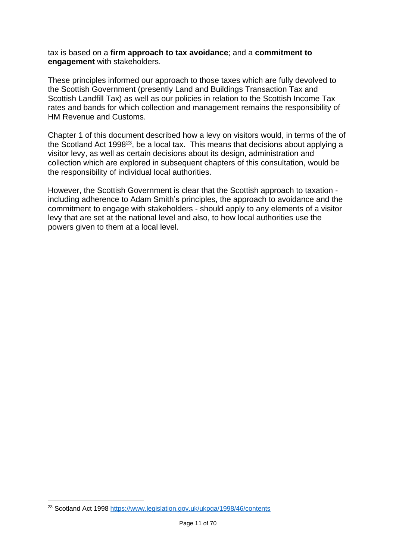tax is based on a **firm approach to tax avoidance**; and a **commitment to engagement** with stakeholders.

These principles informed our approach to those taxes which are fully devolved to the Scottish Government (presently Land and Buildings Transaction Tax and Scottish Landfill Tax) as well as our policies in relation to the Scottish Income Tax rates and bands for which collection and management remains the responsibility of HM Revenue and Customs.

Chapter 1 of this document described how a levy on visitors would, in terms of the of the Scotland Act 1998<sup>23</sup>, be a local tax. This means that decisions about applying a visitor levy, as well as certain decisions about its design, administration and collection which are explored in subsequent chapters of this consultation, would be the responsibility of individual local authorities.

However, the Scottish Government is clear that the Scottish approach to taxation including adherence to Adam Smith's principles, the approach to avoidance and the commitment to engage with stakeholders - should apply to any elements of a visitor levy that are set at the national level and also, to how local authorities use the powers given to them at a local level.

<sup>1</sup> <sup>23</sup> Scotland Act 1998<https://www.legislation.gov.uk/ukpga/1998/46/contents>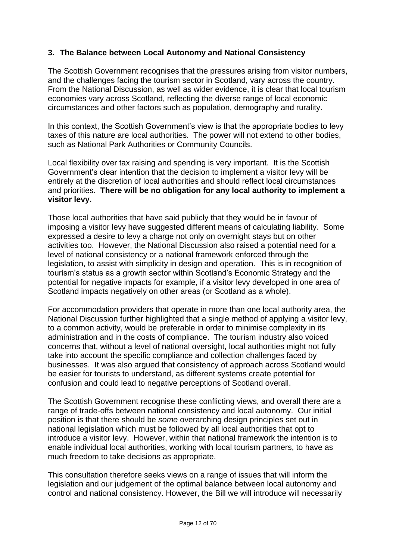# <span id="page-11-0"></span>**3. The Balance between Local Autonomy and National Consistency**

The Scottish Government recognises that the pressures arising from visitor numbers, and the challenges facing the tourism sector in Scotland, vary across the country. From the National Discussion, as well as wider evidence, it is clear that local tourism economies vary across Scotland, reflecting the diverse range of local economic circumstances and other factors such as population, demography and rurality.

In this context, the Scottish Government's view is that the appropriate bodies to levy taxes of this nature are local authorities. The power will not extend to other bodies, such as National Park Authorities or Community Councils.

Local flexibility over tax raising and spending is very important. It is the Scottish Government's clear intention that the decision to implement a visitor levy will be entirely at the discretion of local authorities and should reflect local circumstances and priorities. **There will be no obligation for any local authority to implement a visitor levy.**

Those local authorities that have said publicly that they would be in favour of imposing a visitor levy have suggested different means of calculating liability. Some expressed a desire to levy a charge not only on overnight stays but on other activities too. However, the National Discussion also raised a potential need for a level of national consistency or a national framework enforced through the legislation, to assist with simplicity in design and operation. This is in recognition of tourism's status as a growth sector within Scotland's Economic Strategy and the potential for negative impacts for example, if a visitor levy developed in one area of Scotland impacts negatively on other areas (or Scotland as a whole).

For accommodation providers that operate in more than one local authority area, the National Discussion further highlighted that a single method of applying a visitor levy, to a common activity, would be preferable in order to minimise complexity in its administration and in the costs of compliance. The tourism industry also voiced concerns that, without a level of national oversight, local authorities might not fully take into account the specific compliance and collection challenges faced by businesses. It was also argued that consistency of approach across Scotland would be easier for tourists to understand, as different systems create potential for confusion and could lead to negative perceptions of Scotland overall.

The Scottish Government recognise these conflicting views, and overall there are a range of trade-offs between national consistency and local autonomy. Our initial position is that there should be *some* overarching design principles set out in national legislation which must be followed by all local authorities that opt to introduce a visitor levy. However, within that national framework the intention is to enable individual local authorities, working with local tourism partners, to have as much freedom to take decisions as appropriate.

This consultation therefore seeks views on a range of issues that will inform the legislation and our judgement of the optimal balance between local autonomy and control and national consistency. However, the Bill we will introduce will necessarily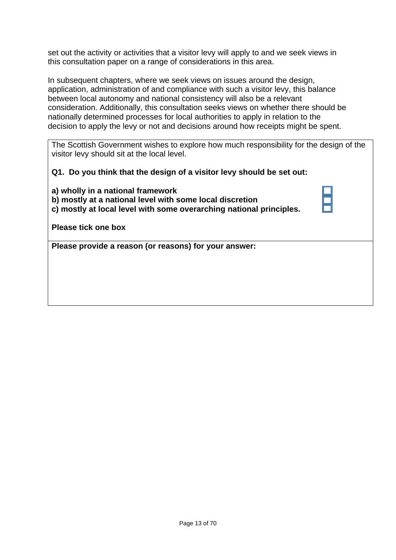set out the activity or activities that a visitor levy will apply to and we seek views in this consultation paper on a range of considerations in this area.

In subsequent chapters, where we seek views on issues around the design, application, administration of and compliance with such a visitor levy, this balance between local autonomy and national consistency will also be a relevant consideration. Additionally, this consultation seeks views on whether there should be nationally determined processes for local authorities to apply in relation to the decision to apply the levy or not and decisions around how receipts might be spent.

The Scottish Government wishes to explore how much responsibility for the design of the visitor levy should sit at the local level.

**Q1. Do you think that the design of a visitor levy should be set out:**

**a) wholly in a national framework b) mostly at a national level with some local discretion c) mostly at local level with some overarching national principles.** 

**Please tick one box**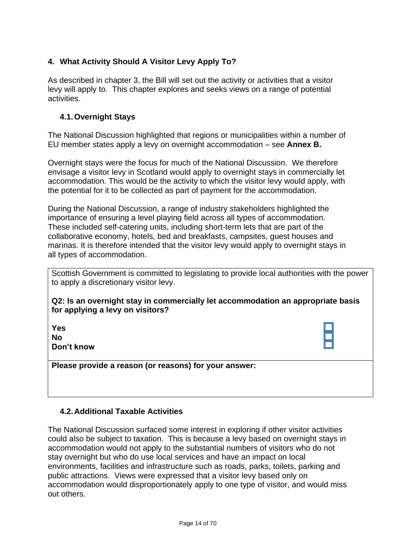# <span id="page-13-0"></span>**4. What Activity Should A Visitor Levy Apply To?**

As described in chapter 3, the Bill will set out the activity or activities that a visitor levy will apply to. This chapter explores and seeks views on a range of potential activities.

### <span id="page-13-1"></span>**4.1.Overnight Stays**

The National Discussion highlighted that regions or municipalities within a number of EU member states apply a levy on overnight accommodation – see **[Annex B.](#page-47-0)**

Overnight stays were the focus for much of the National Discussion. We therefore envisage a visitor levy in Scotland would apply to overnight stays in commercially let accommodation. This would be the activity to which the visitor levy would apply, with the potential for it to be collected as part of payment for the accommodation.

During the National Discussion, a range of industry stakeholders highlighted the importance of ensuring a level playing field across all types of accommodation. These included self-catering units, including short-term lets that are part of the collaborative economy, hotels, bed and breakfasts, campsites, guest houses and marinas. It is therefore intended that the visitor levy would apply to overnight stays in all types of accommodation.

Scottish Government is committed to legislating to provide local authorities with the power to apply a discretionary visitor levy.

**Q2: Is an overnight stay in commercially let accommodation an appropriate basis for applying a levy on visitors?**

| Yes        |  |
|------------|--|
| Nο         |  |
| Don't know |  |

**Please provide a reason (or reasons) for your answer:**

#### <span id="page-13-2"></span>**4.2.Additional Taxable Activities**

The National Discussion surfaced some interest in exploring if other visitor activities could also be subject to taxation. This is because a levy based on overnight stays in accommodation would not apply to the substantial numbers of visitors who do not stay overnight but who do use local services and have an impact on local environments, facilities and infrastructure such as roads, parks, toilets, parking and public attractions. Views were expressed that a visitor levy based only on accommodation would disproportionately apply to one type of visitor, and would miss out others.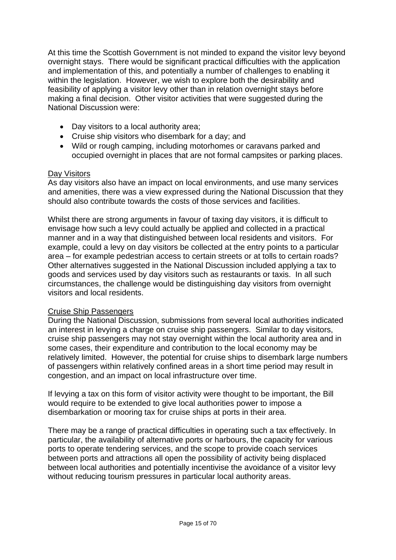At this time the Scottish Government is not minded to expand the visitor levy beyond overnight stays. There would be significant practical difficulties with the application and implementation of this, and potentially a number of challenges to enabling it within the legislation. However, we wish to explore both the desirability and feasibility of applying a visitor levy other than in relation overnight stays before making a final decision. Other visitor activities that were suggested during the National Discussion were:

- Day visitors to a local authority area;
- Cruise ship visitors who disembark for a day; and
- Wild or rough camping, including motorhomes or caravans parked and occupied overnight in places that are not formal campsites or parking places.

# Day Visitors

As day visitors also have an impact on local environments, and use many services and amenities, there was a view expressed during the National Discussion that they should also contribute towards the costs of those services and facilities.

Whilst there are strong arguments in favour of taxing day visitors, it is difficult to envisage how such a levy could actually be applied and collected in a practical manner and in a way that distinguished between local residents and visitors. For example, could a levy on day visitors be collected at the entry points to a particular area – for example pedestrian access to certain streets or at tolls to certain roads? Other alternatives suggested in the National Discussion included applying a tax to goods and services used by day visitors such as restaurants or taxis. In all such circumstances, the challenge would be distinguishing day visitors from overnight visitors and local residents.

# Cruise Ship Passengers

During the National Discussion, submissions from several local authorities indicated an interest in levying a charge on cruise ship passengers. Similar to day visitors, cruise ship passengers may not stay overnight within the local authority area and in some cases, their expenditure and contribution to the local economy may be relatively limited. However, the potential for cruise ships to disembark large numbers of passengers within relatively confined areas in a short time period may result in congestion, and an impact on local infrastructure over time.

If levying a tax on this form of visitor activity were thought to be important, the Bill would require to be extended to give local authorities power to impose a disembarkation or mooring tax for cruise ships at ports in their area.

There may be a range of practical difficulties in operating such a tax effectively. In particular, the availability of alternative ports or harbours, the capacity for various ports to operate tendering services, and the scope to provide coach services between ports and attractions all open the possibility of activity being displaced between local authorities and potentially incentivise the avoidance of a visitor levy without reducing tourism pressures in particular local authority areas.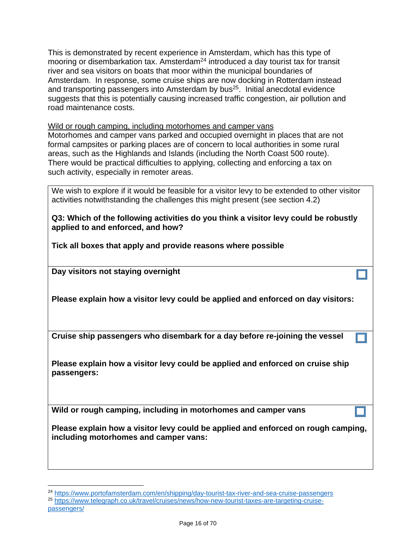This is demonstrated by recent experience in Amsterdam, which has this type of mooring or disembarkation tax. Amsterdam<sup>24</sup> introduced a day tourist tax for transit river and sea visitors on boats that moor within the municipal boundaries of Amsterdam. In response, some cruise ships are now docking in Rotterdam instead and transporting passengers into Amsterdam by bus<sup>25</sup>. Initial anecdotal evidence suggests that this is potentially causing increased traffic congestion, air pollution and road maintenance costs.

Wild or rough camping, including motorhomes and camper vans Motorhomes and camper vans parked and occupied overnight in places that are not formal campsites or parking places are of concern to local authorities in some rural areas, such as the Highlands and Islands (including the North Coast 500 route). There would be practical difficulties to applying, collecting and enforcing a tax on such activity, especially in remoter areas.

We wish to explore if it would be feasible for a visitor levy to be extended to other visitor activities notwithstanding the challenges this might present (see section 4.2)

**Q3: Which of the following activities do you think a visitor levy could be robustly applied to and enforced, and how?** 

**Tick all boxes that apply and provide reasons where possible**

**Day visitors not staying overnight**

1

**Please explain how a visitor levy could be applied and enforced on day visitors:**

**Cruise ship passengers who disembark for a day before re-joining the vessel**

**Please explain how a visitor levy could be applied and enforced on cruise ship passengers:**

**Wild or rough camping, including in motorhomes and camper vans**

**Please explain how a visitor levy could be applied and enforced on rough camping, including motorhomes and camper vans:**

<sup>24</sup> <https://www.portofamsterdam.com/en/shipping/day-tourist-tax-river-and-sea-cruise-passengers> <sup>25</sup> [https://www.telegraph.co.uk/travel/cruises/news/how-new-tourist-taxes-are-targeting-cruise](https://www.telegraph.co.uk/travel/cruises/news/how-new-tourist-taxes-are-targeting-cruise-passengers/)[passengers/](https://www.telegraph.co.uk/travel/cruises/news/how-new-tourist-taxes-are-targeting-cruise-passengers/)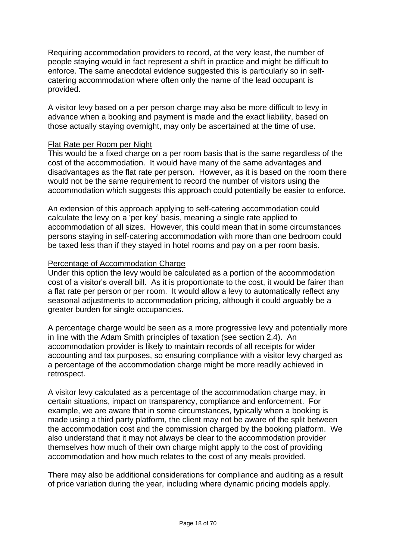Requiring accommodation providers to record, at the very least, the number of people staying would in fact represent a shift in practice and might be difficult to enforce. The same anecdotal evidence suggested this is particularly so in selfcatering accommodation where often only the name of the lead occupant is provided.

A visitor levy based on a per person charge may also be more difficult to levy in advance when a booking and payment is made and the exact liability, based on those actually staying overnight, may only be ascertained at the time of use.

#### Flat Rate per Room per Night

This would be a fixed charge on a per room basis that is the same regardless of the cost of the accommodation. It would have many of the same advantages and disadvantages as the flat rate per person. However, as it is based on the room there would not be the same requirement to record the number of visitors using the accommodation which suggests this approach could potentially be easier to enforce.

An extension of this approach applying to self-catering accommodation could calculate the levy on a 'per key' basis, meaning a single rate applied to accommodation of all sizes. However, this could mean that in some circumstances persons staying in self-catering accommodation with more than one bedroom could be taxed less than if they stayed in hotel rooms and pay on a per room basis.

#### Percentage of Accommodation Charge

Under this option the levy would be calculated as a portion of the accommodation cost of a visitor's overall bill. As it is proportionate to the cost, it would be fairer than a flat rate per person or per room. It would allow a levy to automatically reflect any seasonal adjustments to accommodation pricing, although it could arguably be a greater burden for single occupancies.

A percentage charge would be seen as a more progressive levy and potentially more in line with the Adam Smith principles of taxation (see section 2.4). An accommodation provider is likely to maintain records of all receipts for wider accounting and tax purposes, so ensuring compliance with a visitor levy charged as a percentage of the accommodation charge might be more readily achieved in retrospect.

A visitor levy calculated as a percentage of the accommodation charge may, in certain situations, impact on transparency, compliance and enforcement. For example, we are aware that in some circumstances, typically when a booking is made using a third party platform, the client may not be aware of the split between the accommodation cost and the commission charged by the booking platform. We also understand that it may not always be clear to the accommodation provider themselves how much of their own charge might apply to the cost of providing accommodation and how much relates to the cost of any meals provided.

There may also be additional considerations for compliance and auditing as a result of price variation during the year, including where dynamic pricing models apply.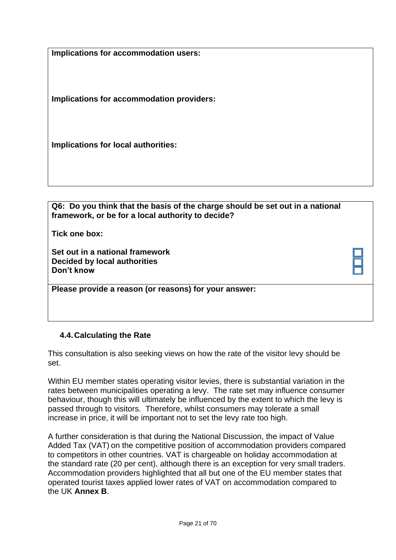**Implications for accommodation users:**

**Implications for accommodation providers:**

**Implications for local authorities:**

**Q6: Do you think that the basis of the charge should be set out in a national framework, or be for a local authority to decide?**

**Tick one box:**

**Set out in a national framework Decided by local authorities Don't know**

**Please provide a reason (or reasons) for your answer:**

# <span id="page-20-0"></span>**4.4.Calculating the Rate**

This consultation is also seeking views on how the rate of the visitor levy should be set.

Within EU member states operating visitor levies, there is substantial variation in the rates between municipalities operating a levy. The rate set may influence consumer behaviour, though this will ultimately be influenced by the extent to which the levy is passed through to visitors. Therefore, whilst consumers may tolerate a small increase in price, it will be important not to set the levy rate too high.

A further consideration is that during the National Discussion, the impact of Value Added Tax (VAT) on the competitive position of accommodation providers compared to competitors in other countries. VAT is chargeable on holiday accommodation at the standard rate (20 per cent), although there is an exception for very small traders. Accommodation providers highlighted that all but one of the EU member states that operated tourist taxes applied lower rates of VAT on accommodation compared to the UK **[Annex B](#page-47-0)**.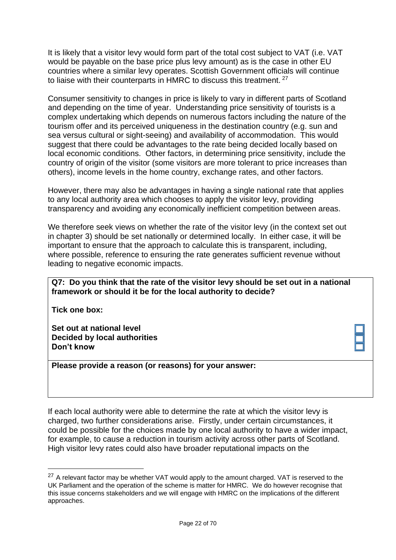It is likely that a visitor levy would form part of the total cost subject to VAT (i.e. VAT would be payable on the base price plus levy amount) as is the case in other EU countries where a similar levy operates. Scottish Government officials will continue to liaise with their counterparts in HMRC to discuss this treatment. <sup>27</sup>

Consumer sensitivity to changes in price is likely to vary in different parts of Scotland and depending on the time of year. Understanding price sensitivity of tourists is a complex undertaking which depends on numerous factors including the nature of the tourism offer and its perceived uniqueness in the destination country (e.g. sun and sea versus cultural or sight-seeing) and availability of accommodation. This would suggest that there could be advantages to the rate being decided locally based on local economic conditions. Other factors, in determining price sensitivity, include the country of origin of the visitor (some visitors are more tolerant to price increases than others), income levels in the home country, exchange rates, and other factors.

However, there may also be advantages in having a single national rate that applies to any local authority area which chooses to apply the visitor levy, providing transparency and avoiding any economically inefficient competition between areas.

We therefore seek views on whether the rate of the visitor levy (in the context set out in chapter 3) should be set nationally or determined locally. In either case, it will be important to ensure that the approach to calculate this is transparent, including, where possible, reference to ensuring the rate generates sufficient revenue without leading to negative economic impacts.

#### **Q7: Do you think that the rate of the visitor levy should be set out in a national framework or should it be for the local authority to decide?**

**Tick one box:**

1

**Set out at national level Decided by local authorities Don't know**

**Please provide a reason (or reasons) for your answer:**

If each local authority were able to determine the rate at which the visitor levy is charged, two further considerations arise. Firstly, under certain circumstances, it could be possible for the choices made by one local authority to have a wider impact, for example, to cause a reduction in tourism activity across other parts of Scotland. High visitor levy rates could also have broader reputational impacts on the

 $27$  A relevant factor may be whether VAT would apply to the amount charged. VAT is reserved to the UK Parliament and the operation of the scheme is matter for HMRC. We do however recognise that this issue concerns stakeholders and we will engage with HMRC on the implications of the different approaches.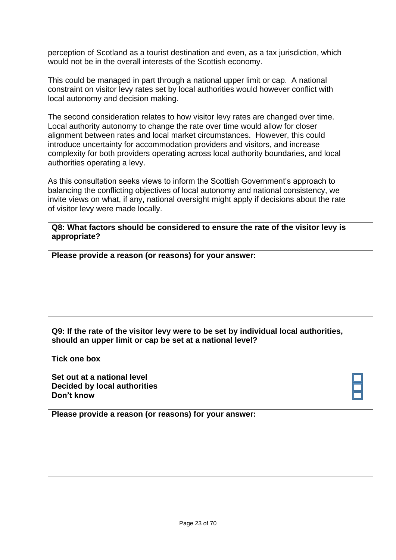perception of Scotland as a tourist destination and even, as a tax jurisdiction, which would not be in the overall interests of the Scottish economy.

This could be managed in part through a national upper limit or cap. A national constraint on visitor levy rates set by local authorities would however conflict with local autonomy and decision making.

The second consideration relates to how visitor levy rates are changed over time. Local authority autonomy to change the rate over time would allow for closer alignment between rates and local market circumstances. However, this could introduce uncertainty for accommodation providers and visitors, and increase complexity for both providers operating across local authority boundaries, and local authorities operating a levy.

As this consultation seeks views to inform the Scottish Government's approach to balancing the conflicting objectives of local autonomy and national consistency, we invite views on what, if any, national oversight might apply if decisions about the rate of visitor levy were made locally.

**Q8: What factors should be considered to ensure the rate of the visitor levy is appropriate?**

**Please provide a reason (or reasons) for your answer:**

### **Q9: If the rate of the visitor levy were to be set by individual local authorities, should an upper limit or cap be set at a national level?**

**Tick one box**

<span id="page-22-0"></span>**Set out at a national level Decided by local authorities Don't know**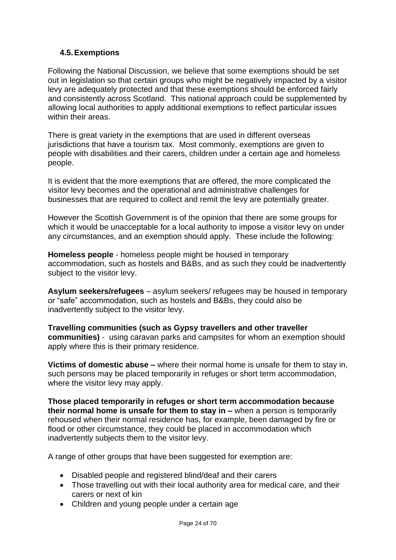# **4.5.Exemptions**

Following the National Discussion, we believe that some exemptions should be set out in legislation so that certain groups who might be negatively impacted by a visitor levy are adequately protected and that these exemptions should be enforced fairly and consistently across Scotland. This national approach could be supplemented by allowing local authorities to apply additional exemptions to reflect particular issues within their areas.

There is great variety in the exemptions that are used in different overseas jurisdictions that have a tourism tax. Most commonly, exemptions are given to people with disabilities and their carers, children under a certain age and homeless people.

It is evident that the more exemptions that are offered, the more complicated the visitor levy becomes and the operational and administrative challenges for businesses that are required to collect and remit the levy are potentially greater.

However the Scottish Government is of the opinion that there are some groups for which it would be unacceptable for a local authority to impose a visitor levy on under any circumstances, and an exemption should apply. These include the following:

**Homeless people** - homeless people might be housed in temporary accommodation, such as hostels and B&Bs, and as such they could be inadvertently subject to the visitor levy.

**Asylum seekers/refugees** – asylum seekers/ refugees may be housed in temporary or "safe" accommodation, such as hostels and B&Bs, they could also be inadvertently subject to the visitor levy.

**Travelling communities (such as Gypsy travellers and other traveller communities)** - using caravan parks and campsites for whom an exemption should apply where this is their primary residence.

**Victims of domestic abuse –** where their normal home is unsafe for them to stay in, such persons may be placed temporarily in refuges or short term accommodation, where the visitor levy may apply.

**Those placed temporarily in refuges or short term accommodation because their normal home is unsafe for them to stay in –** when a person is temporarily rehoused when their normal residence has, for example, been damaged by fire or flood or other circumstance, they could be placed in accommodation which inadvertently subjects them to the visitor levy.

A range of other groups that have been suggested for exemption are:

- Disabled people and registered blind/deaf and their carers
- Those travelling out with their local authority area for medical care, and their carers or next of kin
- Children and young people under a certain age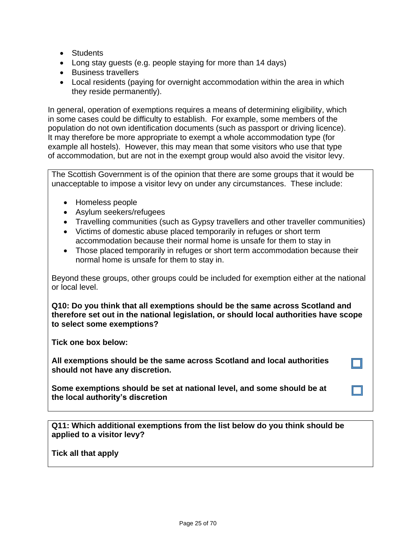- Students
- Long stay guests (e.g. people staying for more than 14 days)
- Business travellers
- Local residents (paying for overnight accommodation within the area in which they reside permanently).

In general, operation of exemptions requires a means of determining eligibility, which in some cases could be difficulty to establish. For example, some members of the population do not own identification documents (such as passport or driving licence). It may therefore be more appropriate to exempt a whole accommodation type (for example all hostels). However, this may mean that some visitors who use that type of accommodation, but are not in the exempt group would also avoid the visitor levy.

The Scottish Government is of the opinion that there are some groups that it would be unacceptable to impose a visitor levy on under any circumstances. These include:

- Homeless people
- Asylum seekers/refugees
- Travelling communities (such as Gypsy travellers and other traveller communities)
- Victims of domestic abuse placed temporarily in refuges or short term accommodation because their normal home is unsafe for them to stay in
- Those placed temporarily in refuges or short term accommodation because their normal home is unsafe for them to stay in.

Beyond these groups, other groups could be included for exemption either at the national or local level.

**Q10: Do you think that all exemptions should be the same across Scotland and therefore set out in the national legislation, or should local authorities have scope to select some exemptions?**

**Tick one box below:** 

**All exemptions should be the same across Scotland and local authorities should not have any discretion.**

**Some exemptions should be set at national level, and some should be at the local authority's discretion**

**Q11: Which additional exemptions from the list below do you think should be applied to a visitor levy?** 

**Tick all that apply**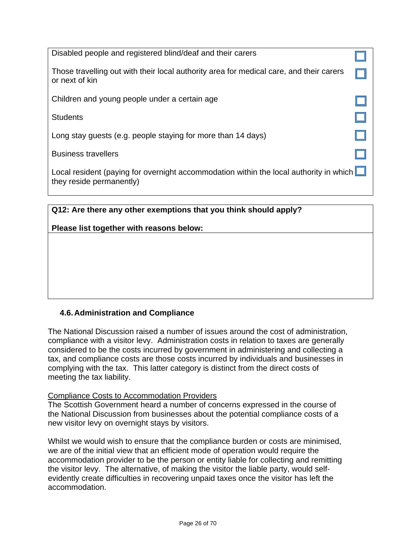| Disabled people and registered blind/deaf and their carers                                                                |  |
|---------------------------------------------------------------------------------------------------------------------------|--|
| Those travelling out with their local authority area for medical care, and their carers<br>or next of kin                 |  |
| Children and young people under a certain age                                                                             |  |
| <b>Students</b>                                                                                                           |  |
| Long stay guests (e.g. people staying for more than 14 days)                                                              |  |
| <b>Business travellers</b>                                                                                                |  |
| Local resident (paying for overnight accommodation within the local authority in which $\Box$<br>they reside permanently) |  |

| Q12: Are there any other exemptions that you think should apply? |  |  |  |
|------------------------------------------------------------------|--|--|--|
| Please list together with reasons below:                         |  |  |  |
|                                                                  |  |  |  |
|                                                                  |  |  |  |
|                                                                  |  |  |  |
|                                                                  |  |  |  |
|                                                                  |  |  |  |

# <span id="page-25-0"></span>**4.6.Administration and Compliance**

The National Discussion raised a number of issues around the cost of administration, compliance with a visitor levy. Administration costs in relation to taxes are generally considered to be the costs incurred by government in administering and collecting a tax, and compliance costs are those costs incurred by individuals and businesses in complying with the tax. This latter category is distinct from the direct costs of meeting the tax liability.

#### Compliance Costs to Accommodation Providers

The Scottish Government heard a number of concerns expressed in the course of the National Discussion from businesses about the potential compliance costs of a new visitor levy on overnight stays by visitors.

Whilst we would wish to ensure that the compliance burden or costs are minimised, we are of the initial view that an efficient mode of operation would require the accommodation provider to be the person or entity liable for collecting and remitting the visitor levy. The alternative, of making the visitor the liable party, would selfevidently create difficulties in recovering unpaid taxes once the visitor has left the accommodation.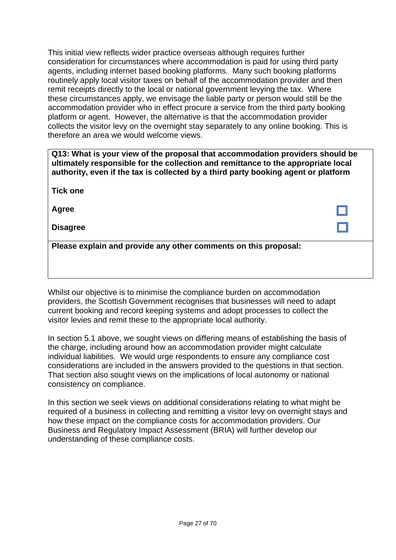This initial view reflects wider practice overseas although requires further consideration for circumstances where accommodation is paid for using third party agents, including internet based booking platforms. Many such booking platforms routinely apply local visitor taxes on behalf of the accommodation provider and then remit receipts directly to the local or national government levying the tax. Where these circumstances apply, we envisage the liable party or person would still be the accommodation provider who in effect procure a service from the third party booking platform or agent. However, the alternative is that the accommodation provider collects the visitor levy on the overnight stay separately to any online booking. This is therefore an area we would welcome views.

**Q13: What is your view of the proposal that accommodation providers should be ultimately responsible for the collection and remittance to the appropriate local authority, even if the tax is collected by a third party booking agent or platform** 

**Tick one**

**Agree**

**Disagree** 

**Please explain and provide any other comments on this proposal:**

Whilst our objective is to minimise the compliance burden on accommodation providers, the Scottish Government recognises that businesses will need to adapt current booking and record keeping systems and adopt processes to collect the visitor levies and remit these to the appropriate local authority.

In section 5.1 above, we sought views on differing means of establishing the basis of the charge, including around how an accommodation provider might calculate individual liabilities. We would urge respondents to ensure any compliance cost considerations are included in the answers provided to the questions in that section. That section also sought views on the implications of local autonomy or national consistency on compliance.

In this section we seek views on additional considerations relating to what might be required of a business in collecting and remitting a visitor levy on overnight stays and how these impact on the compliance costs for accommodation providers. Our Business and Regulatory Impact Assessment (BRIA) will further develop our understanding of these compliance costs.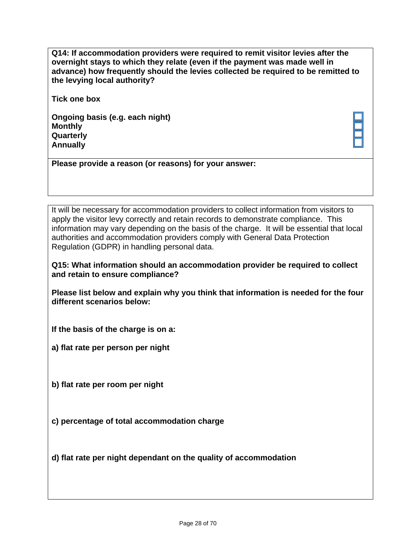**Q14: If accommodation providers were required to remit visitor levies after the overnight stays to which they relate (even if the payment was made well in advance) how frequently should the levies collected be required to be remitted to the levying local authority?**

**Tick one box**

**Ongoing basis (e.g. each night) Monthly Quarterly Annually** 

**Please provide a reason (or reasons) for your answer:**

It will be necessary for accommodation providers to collect information from visitors to apply the visitor levy correctly and retain records to demonstrate compliance. This information may vary depending on the basis of the charge. It will be essential that local authorities and accommodation providers comply with General Data Protection Regulation (GDPR) in handling personal data.

**Q15: What information should an accommodation provider be required to collect and retain to ensure compliance?** 

**Please list below and explain why you think that information is needed for the four different scenarios below:** 

**If the basis of the charge is on a:** 

**a) flat rate per person per night**

**b) flat rate per room per night**

**c) percentage of total accommodation charge**

**d) flat rate per night dependent on the quality of accommodation**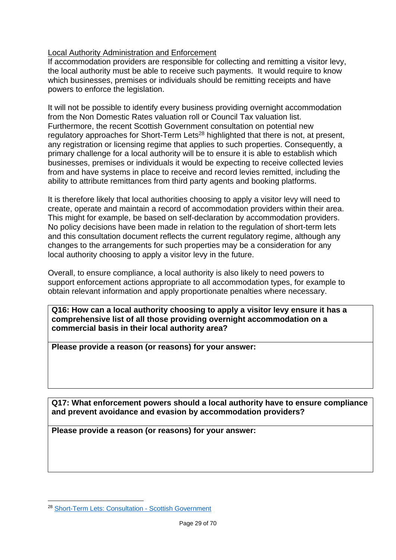## Local Authority Administration and Enforcement

If accommodation providers are responsible for collecting and remitting a visitor levy, the local authority must be able to receive such payments. It would require to know which businesses, premises or individuals should be remitting receipts and have powers to enforce the legislation.

It will not be possible to identify every business providing overnight accommodation from the Non Domestic Rates valuation roll or Council Tax valuation list. Furthermore, the recent Scottish Government consultation on potential new regulatory approaches for Short-Term Lets<sup>28</sup> highlighted that there is not, at present, any registration or licensing regime that applies to such properties. Consequently, a primary challenge for a local authority will be to ensure it is able to establish which businesses, premises or individuals it would be expecting to receive collected levies from and have systems in place to receive and record levies remitted, including the ability to attribute remittances from third party agents and booking platforms.

It is therefore likely that local authorities choosing to apply a visitor levy will need to create, operate and maintain a record of accommodation providers within their area. This might for example, be based on self-declaration by accommodation providers. No policy decisions have been made in relation to the regulation of short-term lets and this consultation document reflects the current regulatory regime, although any changes to the arrangements for such properties may be a consideration for any local authority choosing to apply a visitor levy in the future.

Overall, to ensure compliance, a local authority is also likely to need powers to support enforcement actions appropriate to all accommodation types, for example to obtain relevant information and apply proportionate penalties where necessary.

**Q16: How can a local authority choosing to apply a visitor levy ensure it has a comprehensive list of all those providing overnight accommodation on a commercial basis in their local authority area?**

**Please provide a reason (or reasons) for your answer:**

**Q17: What enforcement powers should a local authority have to ensure compliance and prevent avoidance and evasion by accommodation providers?**

**Please provide a reason (or reasons) for your answer:**

1

<sup>28</sup> [Short-Term Lets: Consultation -](https://consult.gov.scot/housing-services-policy-unit/short-term-lets/) Scottish Government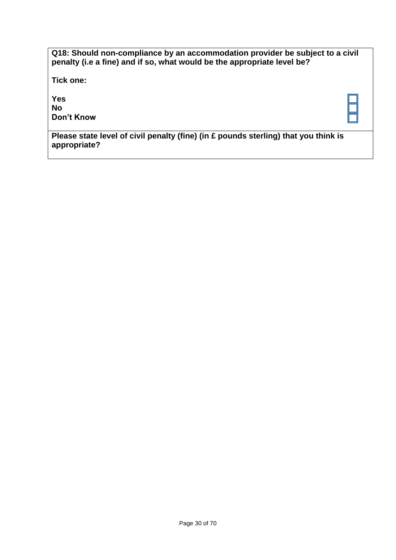| Q18: Should non-compliance by an accommodation provider be subject to a civil<br>penalty (i.e a fine) and if so, what would be the appropriate level be? |  |
|----------------------------------------------------------------------------------------------------------------------------------------------------------|--|
| Tick one:                                                                                                                                                |  |
| <b>Yes</b><br><b>No</b><br>Don't Know                                                                                                                    |  |
| Please state level of civil penalty (fine) (in $\pounds$ pounds sterling) that you think is<br>appropriate?                                              |  |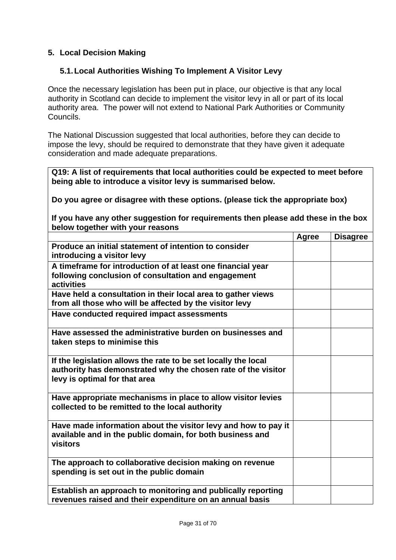# <span id="page-30-0"></span>**5. Local Decision Making**

### <span id="page-30-1"></span>**5.1.Local Authorities Wishing To Implement A Visitor Levy**

Once the necessary legislation has been put in place, our objective is that any local authority in Scotland can decide to implement the visitor levy in all or part of its local authority area. The power will not extend to National Park Authorities or Community Councils.

The National Discussion suggested that local authorities, before they can decide to impose the levy, should be required to demonstrate that they have given it adequate consideration and made adequate preparations.

**Q19: A list of requirements that local authorities could be expected to meet before being able to introduce a visitor levy is summarised below.** 

**Do you agree or disagree with these options. (please tick the appropriate box)**

**If you have any other suggestion for requirements then please add these in the box below together with your reasons**

|                                                                                                                                                                  | Agree | <b>Disagree</b> |
|------------------------------------------------------------------------------------------------------------------------------------------------------------------|-------|-----------------|
| Produce an initial statement of intention to consider<br>introducing a visitor levy                                                                              |       |                 |
| A timeframe for introduction of at least one financial year<br>following conclusion of consultation and engagement<br>activities                                 |       |                 |
| Have held a consultation in their local area to gather views<br>from all those who will be affected by the visitor levy                                          |       |                 |
| Have conducted required impact assessments                                                                                                                       |       |                 |
| Have assessed the administrative burden on businesses and<br>taken steps to minimise this                                                                        |       |                 |
| If the legislation allows the rate to be set locally the local<br>authority has demonstrated why the chosen rate of the visitor<br>levy is optimal for that area |       |                 |
| Have appropriate mechanisms in place to allow visitor levies<br>collected to be remitted to the local authority                                                  |       |                 |
| Have made information about the visitor levy and how to pay it<br>available and in the public domain, for both business and<br>visitors                          |       |                 |
| The approach to collaborative decision making on revenue<br>spending is set out in the public domain                                                             |       |                 |
| Establish an approach to monitoring and publically reporting<br>revenues raised and their expenditure on an annual basis                                         |       |                 |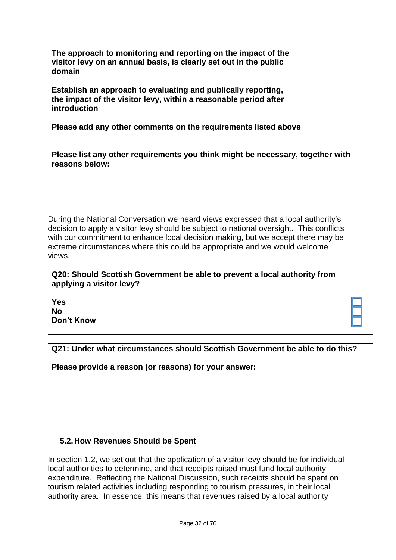| The approach to monitoring and reporting on the impact of the<br>visitor levy on an annual basis, is clearly set out in the public<br>domain      |  |  |  |  |
|---------------------------------------------------------------------------------------------------------------------------------------------------|--|--|--|--|
| Establish an approach to evaluating and publically reporting,<br>the impact of the visitor levy, within a reasonable period after<br>introduction |  |  |  |  |
| Please add any other comments on the requirements listed above                                                                                    |  |  |  |  |
| Please list any other requirements you think might be necessary, together with<br>reasons below:                                                  |  |  |  |  |
|                                                                                                                                                   |  |  |  |  |

During the National Conversation we heard views expressed that a local authority's decision to apply a visitor levy should be subject to national oversight. This conflicts with our commitment to enhance local decision making, but we accept there may be extreme circumstances where this could be appropriate and we would welcome views.

**Q20: Should Scottish Government be able to prevent a local authority from applying a visitor levy?**

**Yes No Don't Know**

**Q21: Under what circumstances should Scottish Government be able to do this?**

**Please provide a reason (or reasons) for your answer:**

# <span id="page-31-0"></span>**5.2.How Revenues Should be Spent**

In section 1.2, we set out that the application of a visitor levy should be for individual local authorities to determine, and that receipts raised must fund local authority expenditure. Reflecting the National Discussion, such receipts should be spent on tourism related activities including responding to tourism pressures, in their local authority area. In essence, this means that revenues raised by a local authority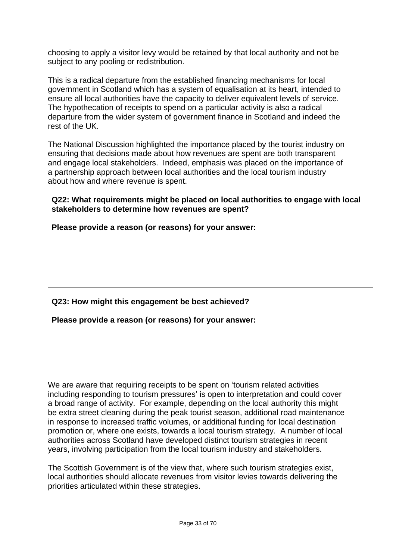choosing to apply a visitor levy would be retained by that local authority and not be subject to any pooling or redistribution.

This is a radical departure from the established financing mechanisms for local government in Scotland which has a system of equalisation at its heart, intended to ensure all local authorities have the capacity to deliver equivalent levels of service. The hypothecation of receipts to spend on a particular activity is also a radical departure from the wider system of government finance in Scotland and indeed the rest of the UK.

The National Discussion highlighted the importance placed by the tourist industry on ensuring that decisions made about how revenues are spent are both transparent and engage local stakeholders. Indeed, emphasis was placed on the importance of a partnership approach between local authorities and the local tourism industry about how and where revenue is spent.

**Q22: What requirements might be placed on local authorities to engage with local stakeholders to determine how revenues are spent?**

**Please provide a reason (or reasons) for your answer:**

**Q23: How might this engagement be best achieved?**

**Please provide a reason (or reasons) for your answer:**

We are aware that requiring receipts to be spent on 'tourism related activities including responding to tourism pressures' is open to interpretation and could cover a broad range of activity. For example, depending on the local authority this might be extra street cleaning during the peak tourist season, additional road maintenance in response to increased traffic volumes, or additional funding for local destination promotion or, where one exists, towards a local tourism strategy. A number of local authorities across Scotland have developed distinct tourism strategies in recent years, involving participation from the local tourism industry and stakeholders.

The Scottish Government is of the view that, where such tourism strategies exist, local authorities should allocate revenues from visitor levies towards delivering the priorities articulated within these strategies.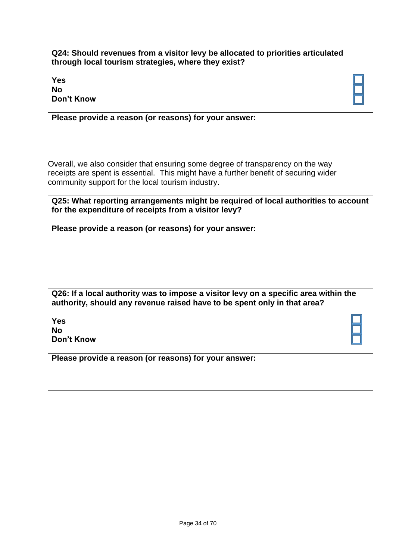**Q24: Should revenues from a visitor levy be allocated to priorities articulated through local tourism strategies, where they exist?**

**Yes No Don't Know**

**Please provide a reason (or reasons) for your answer:**

Overall, we also consider that ensuring some degree of transparency on the way receipts are spent is essential. This might have a further benefit of securing wider community support for the local tourism industry.

| Q25: What reporting arrangements might be required of local authorities to account |
|------------------------------------------------------------------------------------|
| for the expenditure of receipts from a visitor levy?                               |

**Please provide a reason (or reasons) for your answer:**

| Q26: If a local authority was to impose a visitor levy on a specific area within the |
|--------------------------------------------------------------------------------------|
| authority, should any revenue raised have to be spent only in that area?             |

**Yes No Don't Know**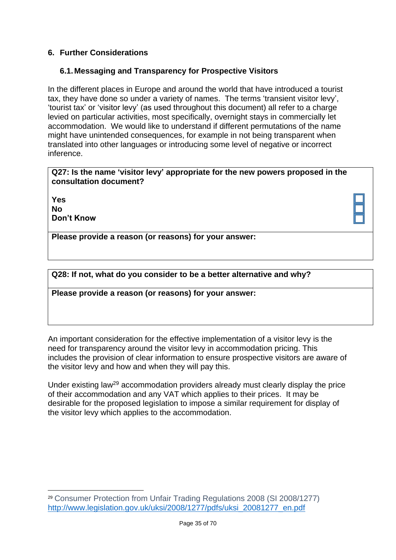# <span id="page-34-0"></span>**6. Further Considerations**

## <span id="page-34-1"></span>**6.1.Messaging and Transparency for Prospective Visitors**

In the different places in Europe and around the world that have introduced a tourist tax, they have done so under a variety of names. The terms 'transient visitor levy', 'tourist tax' or 'visitor levy' (as used throughout this document) all refer to a charge levied on particular activities, most specifically, overnight stays in commercially let accommodation. We would like to understand if different permutations of the name might have unintended consequences, for example in not being transparent when translated into other languages or introducing some level of negative or incorrect inference.

#### **Q27: Is the name 'visitor levy' appropriate for the new powers proposed in the consultation document?**

**Yes No Don't Know**

1

**Please provide a reason (or reasons) for your answer:**

### **Q28: If not, what do you consider to be a better alternative and why?**

#### **Please provide a reason (or reasons) for your answer:**

An important consideration for the effective implementation of a visitor levy is the need for transparency around the visitor levy in accommodation pricing. This includes the provision of clear information to ensure prospective visitors are aware of the visitor levy and how and when they will pay this.

Under existing law<sup>29</sup> accommodation providers already must clearly display the price of their accommodation and any VAT which applies to their prices. It may be desirable for the proposed legislation to impose a similar requirement for display of the visitor levy which applies to the accommodation.

<sup>29</sup> Consumer Protection from Unfair Trading Regulations 2008 (SI 2008/1277) [http://www.legislation.gov.uk/uksi/2008/1277/pdfs/uksi\\_20081277\\_en.pdf](http://www.legislation.gov.uk/uksi/2008/1277/pdfs/uksi_20081277_en.pdf)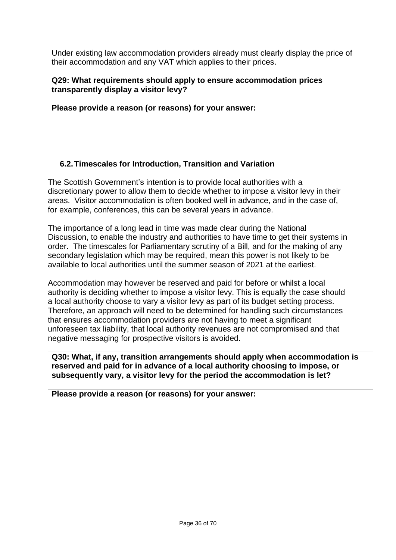Under existing law accommodation providers already must clearly display the price of their accommodation and any VAT which applies to their prices.

**Q29: What requirements should apply to ensure accommodation prices transparently display a visitor levy?**

**Please provide a reason (or reasons) for your answer:**

# <span id="page-35-0"></span>**6.2.Timescales for Introduction, Transition and Variation**

The Scottish Government's intention is to provide local authorities with a discretionary power to allow them to decide whether to impose a visitor levy in their areas. Visitor accommodation is often booked well in advance, and in the case of, for example, conferences, this can be several years in advance.

The importance of a long lead in time was made clear during the National Discussion, to enable the industry and authorities to have time to get their systems in order. The timescales for Parliamentary scrutiny of a Bill, and for the making of any secondary legislation which may be required, mean this power is not likely to be available to local authorities until the summer season of 2021 at the earliest.

Accommodation may however be reserved and paid for before or whilst a local authority is deciding whether to impose a visitor levy. This is equally the case should a local authority choose to vary a visitor levy as part of its budget setting process. Therefore, an approach will need to be determined for handling such circumstances that ensures accommodation providers are not having to meet a significant unforeseen tax liability, that local authority revenues are not compromised and that negative messaging for prospective visitors is avoided.

**Q30: What, if any, transition arrangements should apply when accommodation is reserved and paid for in advance of a local authority choosing to impose, or subsequently vary, a visitor levy for the period the accommodation is let?**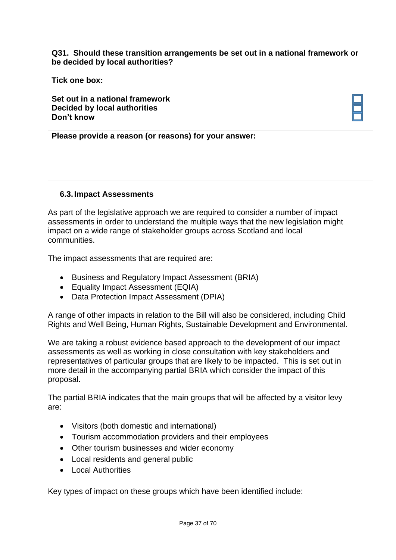**Q31. Should these transition arrangements be set out in a national framework or be decided by local authorities?**

**Tick one box:**

**Set out in a national framework Decided by local authorities Don't know**

**Please provide a reason (or reasons) for your answer:**

#### <span id="page-36-0"></span>**6.3.Impact Assessments**

As part of the legislative approach we are required to consider a number of impact assessments in order to understand the multiple ways that the new legislation might impact on a wide range of stakeholder groups across Scotland and local communities.

The impact assessments that are required are:

- Business and Regulatory Impact Assessment (BRIA)
- Equality Impact Assessment (EQIA)
- Data Protection Impact Assessment (DPIA)

A range of other impacts in relation to the Bill will also be considered, including Child Rights and Well Being, Human Rights, Sustainable Development and Environmental.

We are taking a robust evidence based approach to the development of our impact assessments as well as working in close consultation with key stakeholders and representatives of particular groups that are likely to be impacted. This is set out in more detail in the accompanying partial BRIA which consider the impact of this proposal.

The partial BRIA indicates that the main groups that will be affected by a visitor levy are:

- Visitors (both domestic and international)
- Tourism accommodation providers and their employees
- Other tourism businesses and wider economy
- Local residents and general public
- Local Authorities

Key types of impact on these groups which have been identified include: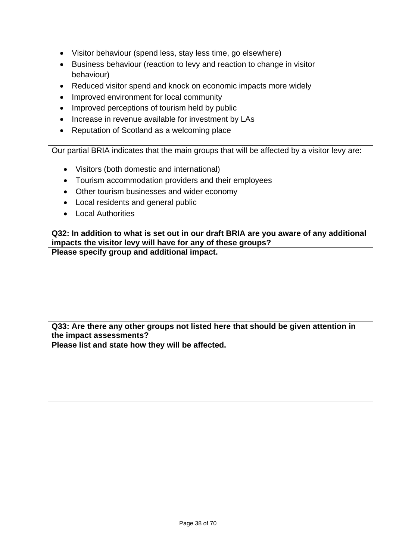- Visitor behaviour (spend less, stay less time, go elsewhere)
- Business behaviour (reaction to levy and reaction to change in visitor behaviour)
- Reduced visitor spend and knock on economic impacts more widely
- Improved environment for local community
- Improved perceptions of tourism held by public
- Increase in revenue available for investment by LAs
- Reputation of Scotland as a welcoming place

Our partial BRIA indicates that the main groups that will be affected by a visitor levy are:

- Visitors (both domestic and international)
- Tourism accommodation providers and their employees
- Other tourism businesses and wider economy
- Local residents and general public
- Local Authorities

**Q32: In addition to what is set out in our draft BRIA are you aware of any additional impacts the visitor levy will have for any of these groups? Please specify group and additional impact.**

**Q33: Are there any other groups not listed here that should be given attention in the impact assessments?** 

**Please list and state how they will be affected.**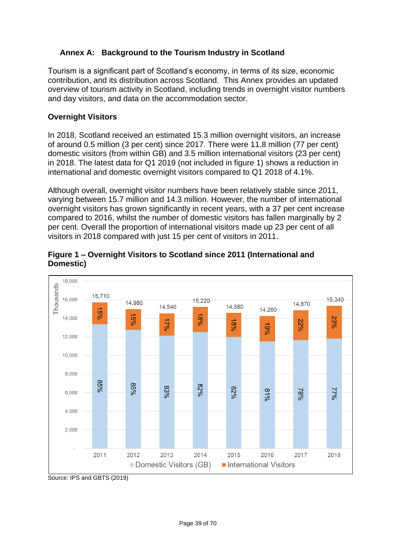# <span id="page-38-0"></span>**Annex A: Background to the Tourism Industry in Scotland**

Tourism is a significant part of Scotland's economy, in terms of its size, economic contribution, and its distribution across Scotland. This Annex provides an updated overview of tourism activity in Scotland, including trends in overnight visitor numbers and day visitors, and data on the accommodation sector.

# **Overnight Visitors**

In 2018, Scotland received an estimated 15.3 million overnight visitors, an increase of around 0.5 million (3 per cent) since 2017. There were 11.8 million (77 per cent) domestic visitors (from within GB) and 3.5 million international visitors (23 per cent) in 2018.

Although overall overnight visitor numbers were similar in 2011 and 2018, there has been notable variation over the period. The number of international visitors has grown significantly in recent years, with a 37 per cent increase compared to 2016, whilst the number of domestic visitors has fallen marginally by 2 per cent. Overall the proportion of international visitors made up 23 per cent of all visitors in 2018 compared with just 15 per cent of visitors in 2011.



### **Figure 1 – Overnight Visitors to Scotland since 2011 (International and Domestic)**

Source: IPS and GBTS (2019)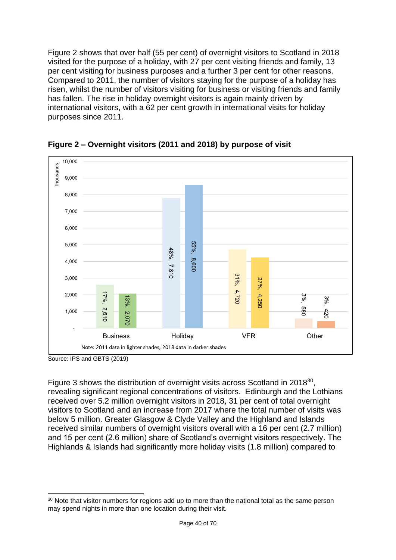Figure 2 shows that over half (55 per cent) of overnight visitors to Scotland in 2018 visited for the purpose of a holiday, with 27 per cent visiting friends and family, 13 per cent visiting for business purposes and a further 3 per cent for other reasons. Compared to 2011, the number of visitors staying for the purpose of a holiday has risen, whilst the number of visitors visiting for business or visiting friends and family has fallen. The rise in holiday overnight visitors is again mainly driven by international visitors, with a 62 per cent growth in international visits for holiday purposes since 2011.



**Figure 2 – Overnight visitors (2011 and 2018) by purpose of visit**

Figure 3 shows the distribution of overnight visits across Scotland in 2018<sup>30</sup>, revealing significant regional concentrations of visitors. Edinburgh and the Lothians received over 5.2 million overnight visitors in 2018, 31 per cent of total overnight visitors to Scotland and an increase from 2017 where the total number of visits was below 5 million. Greater Glasgow & Clyde Valley and the Highland and Islands received similar numbers of overnight visitors overall with a 16 per cent (2.7 million) and 15 per cent (2.6 million) share of Scotland's overnight visitors respectively. The Highlands & Islands had significantly more holiday visits (1.8 million) compared to

Source: IPS and GBTS (2019)

<sup>&</sup>lt;sup>30</sup> Note that visitor numbers for regions add up to more than the national total as the same person may spend nights in more than one location during their visit.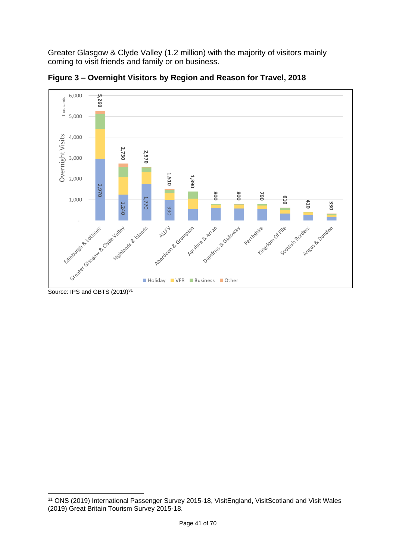Greater Glasgow & Clyde Valley (1.2 million) with the majority of visitors mainly coming to visit friends and family or on business.



**Figure 3 – Overnight Visitors by Region and Reason for Travel, 2018**

1

<sup>&</sup>lt;sup>31</sup> ONS (2019) International Passenger Survey 2015-18, VisitEngland, VisitScotland and Visit Wales (2019) Great Britain Tourism Survey 2015-18.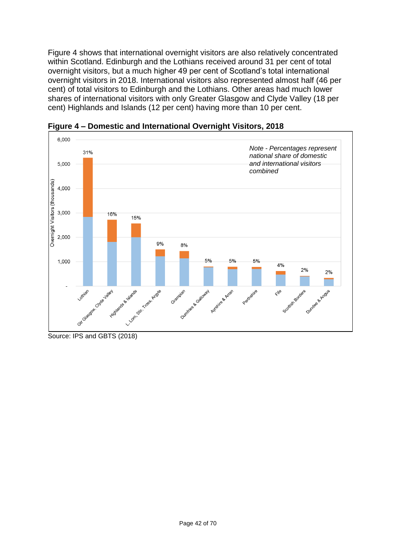Figure 4 shows that international overnight visitors are also relatively concentrated within Scotland. Edinburgh and the Lothians received around 31 per cent of total overnight visitors, but a much higher 49 per cent of Scotland's total international overnight visitors in 2018. International visitors also represented almost half (46 per cent) of total visitors to Edinburgh and the Lothians. Other areas had much lower shares of international visitors with only Greater Glasgow and Clyde Valley (18 per cent) Highlands and Islands (12 per cent) having more than 10 per cent.



**Figure 4 – Domestic and International Overnight Visitors, 2018**

Source: IPS and GBTS (2018)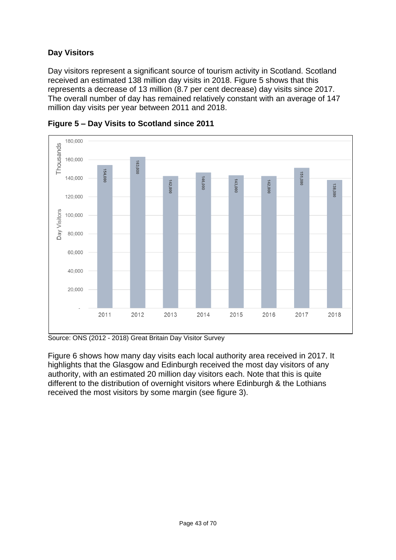# **Day Visitors**

Day visitors represent a significant source of tourism activity in Scotland. Scotland received an estimated 138 million day visits in 2018. Figure 5 shows that this represents a decrease of 13 million (8.7 per cent decrease) day visits since 2017. The overall number of day has remained relatively constant with an average of 147 million day visits per year between 2011 and 2018.



**Figure 5 – Day Visits to Scotland since 2011**

Source: ONS (2012 - 2018) Great Britain Day Visitor Survey

Figure 6 shows how many day visits each local authority area received in 2017. It highlights that the Glasgow and Edinburgh received the most day visitors of any authority, with an estimated 20 million day visitors each. Note that this is quite different to the distribution of overnight visitors where Edinburgh & the Lothians received the most visitors by some margin (see figure 3).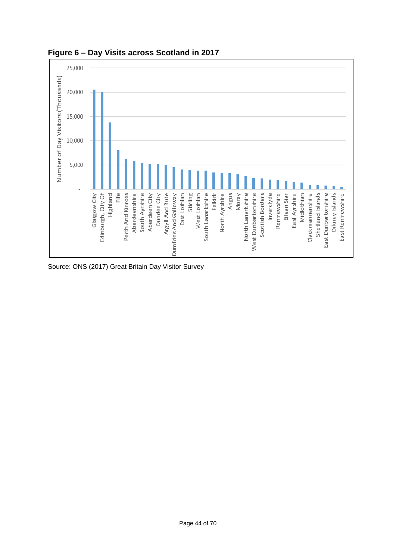

**Figure 6 – Day Visits across Scotland in 2017**

Source: ONS (2017) Great Britain Day Visitor Survey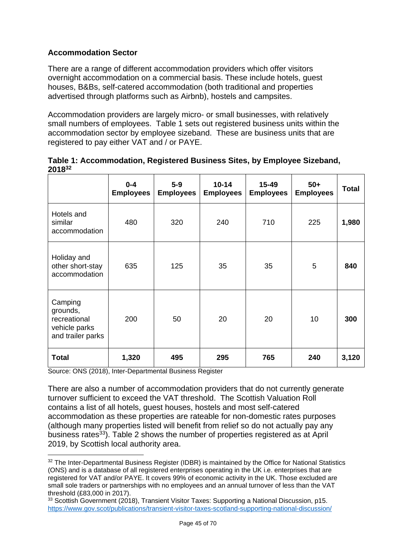# **Accommodation Sector**

There are a range of different accommodation providers which offer visitors overnight accommodation on a commercial basis. These include hotels, guest houses, B&Bs, self-catered accommodation (both traditional and properties advertised through platforms such as Airbnb), hostels and campsites.

Accommodation providers are largely micro- or small businesses, with relatively small numbers of employees. Table 1 sets out registered business units within the accommodation sector by employee sizeband. These are business units that are registered to pay either VAT and / or PAYE.

| ▴◡▮◡                                                                      |                             |                           |                               |                               |                           |              |
|---------------------------------------------------------------------------|-----------------------------|---------------------------|-------------------------------|-------------------------------|---------------------------|--------------|
|                                                                           | $0 - 4$<br><b>Employees</b> | $5-9$<br><b>Employees</b> | $10 - 14$<br><b>Employees</b> | $15 - 49$<br><b>Employees</b> | $50+$<br><b>Employees</b> | <b>Total</b> |
| Hotels and<br>similar<br>accommodation                                    | 480                         | 320                       | 240                           | 710                           | 225                       | 1,980        |
| Holiday and<br>other short-stay<br>accommodation                          | 635                         | 125                       | 35                            | 35                            | 5                         | 840          |
| Camping<br>grounds,<br>recreational<br>vehicle parks<br>and trailer parks | 200                         | 50                        | 20                            | 20                            | 10                        | 300          |
| <b>Total</b>                                                              | 1,320                       | 495                       | 295                           | 765                           | 240                       | 3,120        |

|        | Table 1: Accommodation, Registered Business Sites, by Employee Sizeband, |  |
|--------|--------------------------------------------------------------------------|--|
| 201832 |                                                                          |  |

Source: ONS (2018), Inter-Departmental Business Register

1

There are also a number of accommodation providers that do not currently generate turnover sufficient to exceed the VAT threshold. The Scottish Valuation Roll contains a list of all hotels, guest houses, hostels and most self-catered accommodation as these properties are rateable for non-domestic rates purposes (although many properties listed will benefit from relief so do not actually pay any business rates<sup>33</sup>). Table 2 shows the number of properties registered as at April 2019, by Scottish local authority area.

<sup>32</sup> The Inter-Departmental Business Register (IDBR) is maintained by the Office for National Statistics (ONS) and is a database of all registered enterprises operating in the UK i.e. enterprises that are registered for VAT and/or PAYE. It covers 99% of economic activity in the UK. Those excluded are small sole traders or partnerships with no employees and an annual turnover of less than the VAT threshold (£83,000 in 2017).

<sup>&</sup>lt;sup>33</sup> Scottish Government (2018), Transient Visitor Taxes: Supporting a National Discussion, p15. <https://www.gov.scot/publications/transient-visitor-taxes-scotland-supporting-national-discussion/>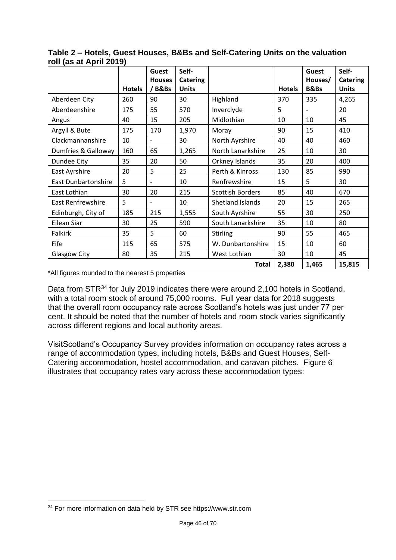| 1011 (av at April 2019)    | <b>Hotels</b> | Guest<br><b>Houses</b><br>/B&Bs | Self-<br><b>Catering</b><br><b>Units</b> |                         | <b>Hotels</b> | Guest<br>Houses/<br><b>B&amp;Bs</b> | Self-<br><b>Catering</b><br><b>Units</b> |
|----------------------------|---------------|---------------------------------|------------------------------------------|-------------------------|---------------|-------------------------------------|------------------------------------------|
| Aberdeen City              | 260           | 90                              | 30                                       | Highland                | 370           | 335                                 | 4,265                                    |
| Aberdeenshire              | 175           | 55                              | 570                                      | Inverclyde              | 5             |                                     | 20                                       |
| Angus                      | 40            | 15                              | 205                                      | Midlothian              | 10            | 10                                  | 45                                       |
| Argyll & Bute              | 175           | 170                             | 1,970                                    | Moray                   | 90            | 15                                  | 410                                      |
| Clackmannanshire           | 10            |                                 | 30                                       | North Ayrshire          | 40            | 40                                  | 460                                      |
| Dumfries & Galloway        | 160           | 65                              | 1,265                                    | North Lanarkshire       | 25            | 10                                  | 30                                       |
| Dundee City                | 35            | 20                              | 50                                       | Orkney Islands          | 35            | 20                                  | 400                                      |
| East Ayrshire              | 20            | 5                               | 25                                       | Perth & Kinross         | 130           | 85                                  | 990                                      |
| <b>East Dunbartonshire</b> | 5             |                                 | 10                                       | Renfrewshire            | 15            | 5                                   | 30                                       |
| East Lothian               | 30            | 20                              | 215                                      | <b>Scottish Borders</b> | 85            | 40                                  | 670                                      |
| East Renfrewshire          | 5             | $\overline{\phantom{0}}$        | 10                                       | Shetland Islands        | 20            | 15                                  | 265                                      |
| Edinburgh, City of         | 185           | 215                             | 1,555                                    | South Ayrshire          | 55            | 30                                  | 250                                      |
| Eilean Siar                | 30            | 25                              | 590                                      | South Lanarkshire       | 35            | 10                                  | 80                                       |
| Falkirk                    | 35            | 5                               | 60                                       | <b>Stirling</b>         | 90            | 55                                  | 465                                      |
| Fife                       | 115           | 65                              | 575                                      | W. Dunbartonshire       | 15            | 10                                  | 60                                       |
| Glasgow City               | 80            | 35                              | 215                                      | West Lothian            | 30            | 10                                  | 45                                       |
|                            |               |                                 |                                          | <b>Total</b>            | 2,380         | 1,465                               | 15,815                                   |

**Table 2 – Hotels, Guest Houses, B&Bs and Self-Catering Units on the valuation roll (as at April 2019)**

\*All figures rounded to the nearest 5 properties

Data from STR<sup>34</sup> for July 2019 indicates there were around 2,100 hotels in Scotland, with a total room stock of around 75,000 rooms. Full year data for 2018 suggests that the overall room occupancy rate across Scotland's hotels was just under 77 per cent. It should be noted that the number of hotels and room stock varies significantly across different regions and local authority areas.

VisitScotland's Occupancy Survey provides information on occupancy rates across a range of accommodation types, including hotels, B&Bs and Guest Houses, Self-Catering accommodation, hostel accommodation, and caravan pitches. Figure 6 illustrates that occupancy rates vary across these accommodation types:

<sup>1</sup> <sup>34</sup> For more information on data held by STR see https://www.str.com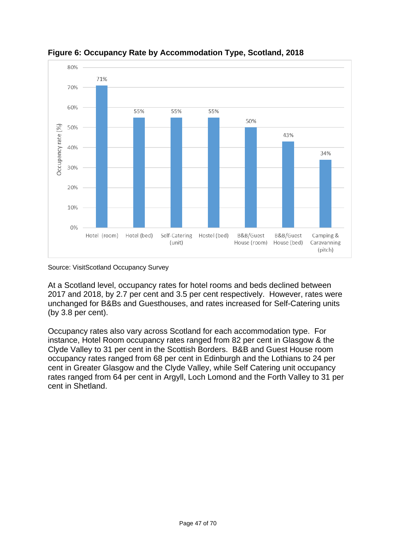

**Figure 6: Occupancy Rate by Accommodation Type, Scotland, 2018**

Source: VisitScotland Occupancy Survey

At a Scotland level, occupancy rates for hotel rooms and beds declined between 2017 and 2018, by 2.7 per cent and 3.5 per cent respectively. However, rates were unchanged for B&Bs and Guesthouses, and rates increased for Self-Catering units (by 3.8 per cent).

Occupancy rates also vary across Scotland for each accommodation type. For instance, Hotel Room occupancy rates ranged from 82 per cent in Glasgow & the Clyde Valley to 31 per cent in the Scottish Borders. B&B and Guest House room occupancy rates ranged from 68 per cent in Edinburgh and the Lothians to 24 per cent in Greater Glasgow and the Clyde Valley, while Self Catering unit occupancy rates ranged from 64 per cent in Argyll, Loch Lomond and the Forth Valley to 31 per cent in Shetland.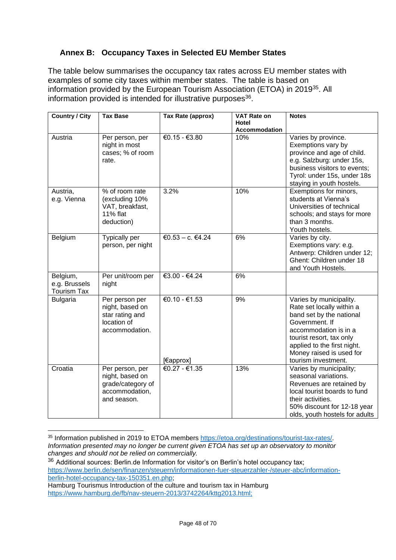# <span id="page-47-0"></span>**Annex B: Occupancy Taxes in Selected EU Member States**

The table below summarises the occupancy tax rates across EU member states with examples of some city taxes within member states. The table is based on information provided by the European Tourism Association (ETOA) in 2019<sup>35</sup>. All information provided is intended for illustrative purposes<sup>36</sup>.

| <b>Country / City</b>                           | <b>Tax Base</b>                                                                          | Tax Rate (approx)          | <b>VAT Rate on</b><br>Hotel | <b>Notes</b>                                                                                                                                                                                                                              |
|-------------------------------------------------|------------------------------------------------------------------------------------------|----------------------------|-----------------------------|-------------------------------------------------------------------------------------------------------------------------------------------------------------------------------------------------------------------------------------------|
|                                                 |                                                                                          |                            | Accommodation               |                                                                                                                                                                                                                                           |
| Austria                                         | Per person, per<br>night in most<br>cases; % of room<br>rate.                            | €0.15 - €3.80              | 10%                         | Varies by province.<br>Exemptions vary by<br>province and age of child.<br>e.g. Salzburg: under 15s,<br>business visitors to events;<br>Tyrol: under 15s, under 18s<br>staying in youth hostels.                                          |
| Austria,<br>e.g. Vienna                         | % of room rate<br>(excluding 10%<br>VAT, breakfast,<br><b>11% flat</b><br>deduction)     | 3.2%                       | 10%                         | Exemptions for minors,<br>students at Vienna's<br>Universities of technical<br>schools; and stays for more<br>than 3 months.<br>Youth hostels.                                                                                            |
| Belgium                                         | Typically per<br>person, per night                                                       | €0.53 - c. €4.24           | 6%                          | Varies by city.<br>Exemptions vary: e.g.<br>Antwerp: Children under 12;<br>Ghent: Children under 18<br>and Youth Hostels.                                                                                                                 |
| Belgium,<br>e.g. Brussels<br><b>Tourism Tax</b> | Per unit/room per<br>night                                                               | €3.00 - €4.24              | 6%                          |                                                                                                                                                                                                                                           |
| <b>Bulgaria</b>                                 | Per person per<br>night, based on<br>star rating and<br>location of<br>accommodation.    | €0.10 - €1.53<br>[€approx] | 9%                          | Varies by municipality.<br>Rate set locally within a<br>band set by the national<br>Government. If<br>accommodation is in a<br>tourist resort, tax only<br>applied to the first night.<br>Money raised is used for<br>tourism investment. |
| Croatia                                         | Per person, per<br>night, based on<br>grade/category of<br>accommodation,<br>and season. | €0.27 - €1.35              | 13%                         | Varies by municipality;<br>seasonal variations.<br>Revenues are retained by<br>local tourist boards to fund<br>their activities.<br>50% discount for 12-18 year<br>olds, youth hostels for adults                                         |

<sup>1</sup> <sup>35</sup> Information published in 2019 to ETOA members [https://etoa.org/destinations/tourist-tax-rates/.](https://etoa.org/destinations/tourist-tax-rates/) *Information presented may no longer be current given ETOA has set up an observatory to monitor changes and should not be relied on commercially.*

<sup>&</sup>lt;sup>36</sup> Additional sources: Berlin.de Information for visitor's on Berlin's hotel occupancy tax; [https://www.berlin.de/sen/finanzen/steuern/informationen-fuer-steuerzahler-/steuer-abc/information](https://www.berlin.de/sen/finanzen/steuern/informationen-fuer-steuerzahler-/steuer-abc/information-berlin-hotel-occupancy-tax-150351.en.php)[berlin-hotel-occupancy-tax-150351.en.php;](https://www.berlin.de/sen/finanzen/steuern/informationen-fuer-steuerzahler-/steuer-abc/information-berlin-hotel-occupancy-tax-150351.en.php)

Hamburg Tourismus Introduction of the culture and tourism tax in Hamburg [https://www.hamburg.de/fb/nav-steuern-2013/3742264/kttg2013.html;](https://www.hamburg.de/fb/nav-steuern-2013/3742264/kttg2013.html)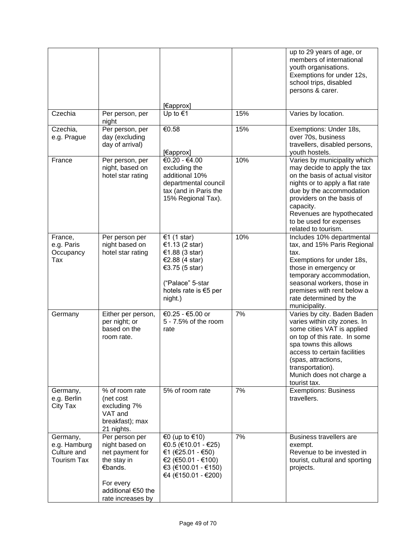|                                                               |                                                                                                                                       |                                                                                                                                             |     | up to 29 years of age, or<br>members of international<br>youth organisations.<br>Exemptions for under 12s,<br>school trips, disabled<br>persons & carer.                                                                                                                             |
|---------------------------------------------------------------|---------------------------------------------------------------------------------------------------------------------------------------|---------------------------------------------------------------------------------------------------------------------------------------------|-----|--------------------------------------------------------------------------------------------------------------------------------------------------------------------------------------------------------------------------------------------------------------------------------------|
|                                                               |                                                                                                                                       | [€approx]                                                                                                                                   |     |                                                                                                                                                                                                                                                                                      |
| Czechia                                                       | Per person, per<br>night                                                                                                              | Up to $€1$                                                                                                                                  | 15% | Varies by location.                                                                                                                                                                                                                                                                  |
| Czechia,<br>e.g. Prague                                       | Per person, per<br>day (excluding<br>day of arrival)                                                                                  | €0.58<br>[€approx]                                                                                                                          | 15% | Exemptions: Under 18s,<br>over 70s, business<br>travellers, disabled persons,<br>youth hostels.                                                                                                                                                                                      |
| France                                                        | Per person, per<br>night, based on<br>hotel star rating                                                                               | €0.20 - €4.00<br>excluding the<br>additional 10%<br>departmental council<br>tax (and in Paris the<br>15% Regional Tax).                     | 10% | Varies by municipality which<br>may decide to apply the tax<br>on the basis of actual visitor<br>nights or to apply a flat rate<br>due by the accommodation<br>providers on the basis of<br>capacity.<br>Revenues are hypothecated<br>to be used for expenses<br>related to tourism. |
| France,<br>e.g. Paris<br>Occupancy<br>Tax                     | Per person per<br>night based on<br>hotel star rating                                                                                 | €1 (1 star)<br>€1.13 (2 star)<br>€1.88 (3 star)<br>€2.88 (4 star)<br>€3.75 (5 star)<br>("Palace" 5-star<br>hotels rate is €5 per<br>night.) | 10% | Includes 10% departmental<br>tax, and 15% Paris Regional<br>tax.<br>Exemptions for under 18s,<br>those in emergency or<br>temporary accommodation,<br>seasonal workers, those in<br>premises with rent below a<br>rate determined by the<br>municipality.                            |
| Germany                                                       | Either per person,<br>per night; or<br>based on the<br>room rate.                                                                     | €0.25 - €5.00 or<br>5 - 7.5% of the room<br>rate                                                                                            | 7%  | Varies by city. Baden Baden<br>varies within city zones. In<br>some cities VAT is applied<br>on top of this rate. In some<br>spa towns this allows<br>access to certain facilities<br>(spas, attractions,<br>transportation).<br>Munich does not charge a<br>tourist tax.            |
| Germany,<br>e.g. Berlin<br>City Tax                           | % of room rate<br>(net cost<br>excluding 7%<br>VAT and<br>breakfast); max<br>21 nights.                                               | 5% of room rate                                                                                                                             | 7%  | <b>Exemptions: Business</b><br>travellers.                                                                                                                                                                                                                                           |
| Germany,<br>e.g. Hamburg<br>Culture and<br><b>Tourism Tax</b> | Per person per<br>night based on<br>net payment for<br>the stay in<br>€bands.<br>For every<br>additional €50 the<br>rate increases by | €0 (up to €10)<br>€0.5 (€10.01 - €25)<br>€1 (€25.01 - €50)<br>€2 (€50.01 - €100)<br>€3 (€100.01 - €150)<br>€4 (€150.01 - €200)              | 7%  | Business travellers are<br>exempt.<br>Revenue to be invested in<br>tourist, cultural and sporting<br>projects.                                                                                                                                                                       |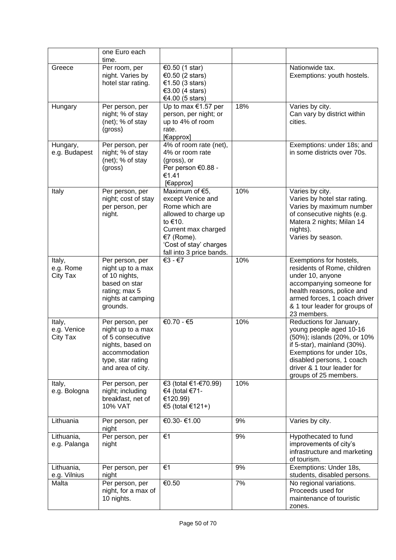|                                   | one Euro each<br>time.                                                                                                                  |                                                                                                                                                                                     |     |                                                                                                                                                                                                                                   |
|-----------------------------------|-----------------------------------------------------------------------------------------------------------------------------------------|-------------------------------------------------------------------------------------------------------------------------------------------------------------------------------------|-----|-----------------------------------------------------------------------------------------------------------------------------------------------------------------------------------------------------------------------------------|
| Greece                            | Per room, per<br>night. Varies by<br>hotel star rating.                                                                                 | €0.50 $(1$ star)<br>€0.50 (2 stars)<br>€1.50 (3 stars)<br>€3.00 (4 stars)<br>€4.00 (5 stars)                                                                                        |     | Nationwide tax.<br>Exemptions: youth hostels.                                                                                                                                                                                     |
| Hungary                           | Per person, per<br>night; % of stay<br>(net); % of stay<br>(gross)                                                                      | Up to max $€1.57$ per<br>person, per night; or<br>up to 4% of room<br>rate.<br>[€approx]                                                                                            | 18% | Varies by city.<br>Can vary by district within<br>cities.                                                                                                                                                                         |
| Hungary,<br>e.g. Budapest         | Per person, per<br>night; % of stay<br>(net); % of stay<br>(gross)                                                                      | 4% of room rate (net),<br>4% or room rate<br>(gross), or<br>Per person €0.88 -<br>€1.41<br>[€approx]                                                                                |     | Exemptions: under 18s; and<br>in some districts over 70s.                                                                                                                                                                         |
| Italy                             | Per person, per<br>night; cost of stay<br>per person, per<br>night.                                                                     | Maximum of €5,<br>except Venice and<br>Rome which are<br>allowed to charge up<br>to €10.<br>Current max charged<br>€7 (Rome).<br>'Cost of stay' charges<br>fall into 3 price bands. | 10% | Varies by city.<br>Varies by hotel star rating.<br>Varies by maximum number<br>of consecutive nights (e.g.<br>Matera 2 nights; Milan 14<br>nights).<br>Varies by season.                                                          |
| Italy,<br>e.g. Rome<br>City Tax   | Per person, per<br>night up to a max<br>of 10 nights,<br>based on star<br>rating; max 5<br>nights at camping<br>grounds.                | €3 - €7                                                                                                                                                                             | 10% | Exemptions for hostels,<br>residents of Rome, children<br>under 10, anyone<br>accompanying someone for<br>health reasons, police and<br>armed forces, 1 coach driver<br>& 1 tour leader for groups of<br>23 members.              |
| Italy,<br>e.g. Venice<br>City Tax | Per person, per<br>night up to a max<br>of 5 consecutive<br>nights, based on<br>accommodation<br>type, star rating<br>and area of city. | €0.70 - €5                                                                                                                                                                          | 10% | Reductions for January,<br>young people aged 10-16<br>(50%); islands (20%, or 10%<br>if 5-star), mainland (30%).<br>Exemptions for under 10s,<br>disabled persons, 1 coach<br>driver & 1 tour leader for<br>groups of 25 members. |
| Italy,<br>e.g. Bologna            | Per person, per<br>night; including<br>breakfast, net of<br><b>10% VAT</b>                                                              | €3 (total €1-€70.99)<br>€4 (total €71-<br>€120.99)<br>€5 (total €121+)                                                                                                              | 10% |                                                                                                                                                                                                                                   |
| Lithuania                         | Per person, per<br>night                                                                                                                | €0.30- €1.00                                                                                                                                                                        | 9%  | Varies by city.                                                                                                                                                                                                                   |
| Lithuania,<br>e.g. Palanga        | Per person, per<br>night                                                                                                                | €1                                                                                                                                                                                  | 9%  | Hypothecated to fund<br>improvements of city's<br>infrastructure and marketing<br>of tourism.                                                                                                                                     |
| Lithuania,<br>e.g. Vilnius        | Per person, per<br>night                                                                                                                | €1                                                                                                                                                                                  | 9%  | Exemptions: Under 18s,<br>students, disabled persons.                                                                                                                                                                             |
| Malta                             | Per person, per<br>night, for a max of<br>10 nights.                                                                                    | €0.50                                                                                                                                                                               | 7%  | No regional variations.<br>Proceeds used for<br>maintenance of touristic<br>zones.                                                                                                                                                |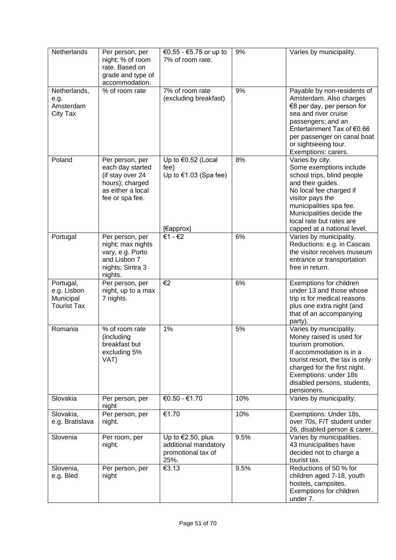| Netherlands                                                 | Per person, per<br>night; % of room<br>rate. Based on<br>grade and type of<br>accommodation.                       | €0.55 - €5.75 or up to<br>7% of room rate.                                        | 9%   | Varies by municipality.                                                                                                                                                                                                                                         |
|-------------------------------------------------------------|--------------------------------------------------------------------------------------------------------------------|-----------------------------------------------------------------------------------|------|-----------------------------------------------------------------------------------------------------------------------------------------------------------------------------------------------------------------------------------------------------------------|
| Netherlands,<br>e.g.<br>Amsterdam<br>City Tax               | % of room rate                                                                                                     | 7% of room rate<br>(excluding breakfast)                                          | 9%   | Payable by non-residents of<br>Amsterdam. Also charges<br>€8 per day, per person for<br>sea and river cruise<br>passengers; and an<br>Entertainment Tax of €0.66<br>per passenger on canal boat<br>or sightseeing tour.<br>Exemptions: carers.                  |
| Poland                                                      | Per person, per<br>each day started<br>(if stay over 24<br>hours); charged<br>as either a local<br>fee or spa fee. | Up to $€0.52$ (Local<br>fee)<br>Up to $€1.03$ (Spa fee)<br>[€approx]              | 8%   | Varies by city.<br>Some exemptions include<br>school trips, blind people<br>and their guides.<br>No local fee charged if<br>visitor pays the<br>municipalities spa fee.<br>Municipalities decide the<br>local rate but rates are<br>capped at a national level. |
| Portugal                                                    | Per person, per<br>night; max nights<br>vary, e.g. Porto<br>and Lisbon 7<br>nights, Sintra 3<br>nights.            | €1 - €2                                                                           | 6%   | Varies by municipality.<br>Reductions: e.g. in Cascais<br>the visitor receives museum<br>entrance or transportation<br>free in return.                                                                                                                          |
| Portugal,<br>e.g. Lisbon<br>Municipal<br><b>Tourist Tax</b> | Per person, per<br>night, up to a max<br>7 nights.                                                                 | €2                                                                                | 6%   | Exemptions for children<br>under 13 and those whose<br>trip is for medical reasons<br>plus one extra night (and<br>that of an accompanying<br>party).                                                                                                           |
| Romania                                                     | % of room rate<br>(including<br>breakfast but<br>excluding 5%<br>VAT)                                              | 1%                                                                                | 5%   | Varies by municipality.<br>Money raised is used for<br>tourism promotion.<br>If accommodation is in a<br>tourist resort, the tax is only<br>charged for the first night.<br>Exemptions: under 18s<br>disabled persons, students,<br>pensioners.                 |
| Slovakia                                                    | Per person, per<br>night                                                                                           | €0.50 - €1.70                                                                     | 10%  | Varies by municipality.                                                                                                                                                                                                                                         |
| Slovakia,<br>e.g. Bratislava                                | Per person, per<br>night.                                                                                          | €1.70                                                                             | 10%  | Exemptions: Under 18s,<br>over 70s, F/T student under<br>26, disabled person & carer.                                                                                                                                                                           |
| Slovenia                                                    | Per room, per<br>night.                                                                                            | Up to $\epsilon$ 2.50, plus<br>additional mandatory<br>promotional tax of<br>25%. | 9.5% | Varies by municipalities.<br>43 municipalities have<br>decided not to charge a<br>tourist tax.                                                                                                                                                                  |
| Slovenia,<br>e.g. Bled                                      | Per person, per<br>night                                                                                           | €3.13                                                                             | 9.5% | Reductions of 50 % for<br>children aged 7-18, youth<br>hostels, campsites.<br>Exemptions for children<br>under 7.                                                                                                                                               |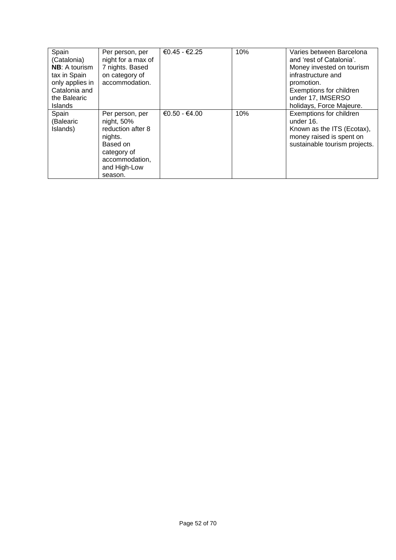| Spain<br>(Catalonia)<br><b>NB:</b> A tourism<br>tax in Spain<br>only applies in<br>Catalonia and<br>the Balearic<br><b>Islands</b> | Per person, per<br>night for a max of<br>7 nights. Based<br>on category of<br>accommodation.                                             | €0.45 - €2.25   | 10% | Varies between Barcelona<br>and 'rest of Catalonia'.<br>Money invested on tourism<br>infrastructure and<br>promotion.<br>Exemptions for children<br>under 17, IMSERSO<br>holidays, Force Majeure. |
|------------------------------------------------------------------------------------------------------------------------------------|------------------------------------------------------------------------------------------------------------------------------------------|-----------------|-----|---------------------------------------------------------------------------------------------------------------------------------------------------------------------------------------------------|
| Spain<br>(Balearic<br>Islands)                                                                                                     | Per person, per<br>$night, 50\%$<br>reduction after 8<br>nights.<br>Based on<br>category of<br>accommodation,<br>and High-Low<br>season. | $€0.50 - €4.00$ | 10% | Exemptions for children<br>under 16.<br>Known as the ITS (Ecotax),<br>money raised is spent on<br>sustainable tourism projects.                                                                   |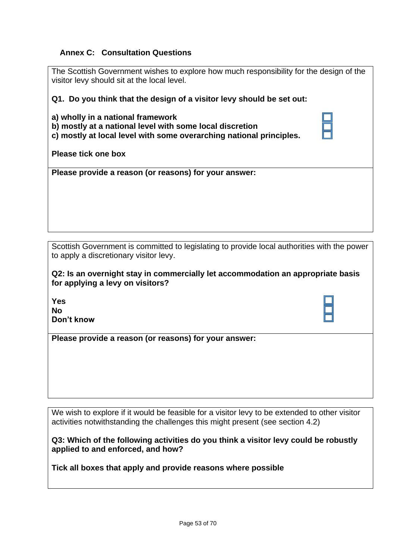## <span id="page-52-0"></span>**Annex C: Consultation Questions**

| The Scottish Government wishes to explore how much responsibility for the design of the<br>visitor levy should sit at the local level.                                                      |  |
|---------------------------------------------------------------------------------------------------------------------------------------------------------------------------------------------|--|
| Q1. Do you think that the design of a visitor levy should be set out:                                                                                                                       |  |
| a) wholly in a national framework<br>b) mostly at a national level with some local discretion<br>c) mostly at local level with some overarching national principles.<br>Please tick one box |  |
| Please provide a reason (or reasons) for your answer:                                                                                                                                       |  |

Scottish Government is committed to legislating to provide local authorities with the power to apply a discretionary visitor levy.

**Q2: Is an overnight stay in commercially let accommodation an appropriate basis for applying a levy on visitors?**

| Yes        |  |
|------------|--|
| Nο         |  |
| Don't know |  |

**Please provide a reason (or reasons) for your answer:**

We wish to explore if it would be feasible for a visitor levy to be extended to other visitor activities notwithstanding the challenges this might present (see section 4.2)

**Q3: Which of the following activities do you think a visitor levy could be robustly applied to and enforced, and how?** 

**Tick all boxes that apply and provide reasons where possible**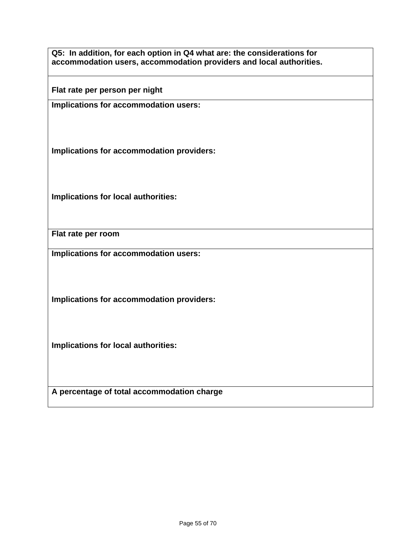**Q5: In addition, for each option in Q4 what are: the considerations for accommodation users, accommodation providers and local authorities.** 

**Flat rate per person per night** 

**Implications for accommodation users:**

**Implications for accommodation providers:**

**Implications for local authorities:**

**Flat rate per room**

**Implications for accommodation users:**

**Implications for accommodation providers:**

**Implications for local authorities:**

**A percentage of total accommodation charge**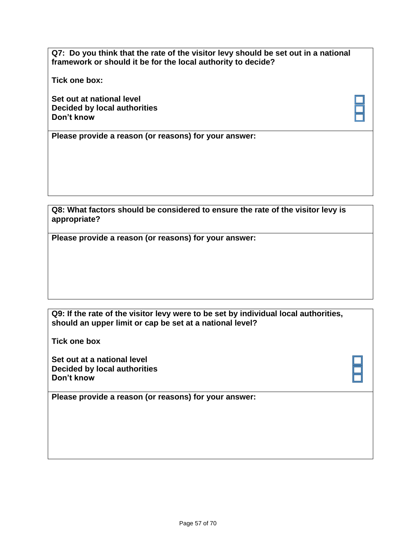**Q7: Do you think that the rate of the visitor levy should be set out in a national framework or should it be for the local authority to decide?** 

**Tick one box:**

**Set out at national level Decided by local authorities Don't know**

**Please provide a reason (or reasons) for your answer:**

**Q8: What factors should be considered to ensure the rate of the visitor levy is appropriate?**

**Please provide a reason (or reasons) for your answer:**

### **Q9: If the rate of the visitor levy were to be set by individual local authorities, should an upper limit or cap be set at a national level?**

**Tick one box**

**Set out at a national level Decided by local authorities Don't know**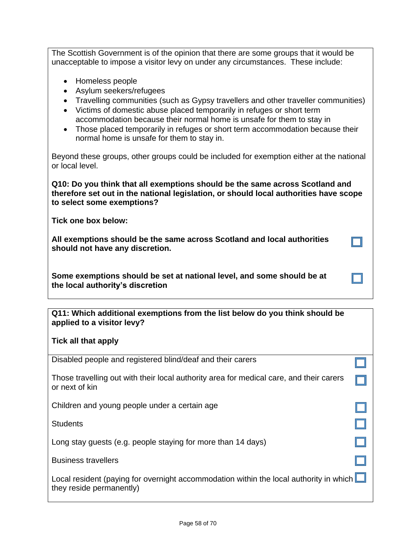The Scottish Government is of the opinion that there are some groups that it would be unacceptable to impose a visitor levy on under any circumstances. These include:

- Homeless people
- Asylum seekers/refugees
- Travelling communities (such as Gypsy travellers and other traveller communities)
- Victims of domestic abuse placed temporarily in refuges or short term accommodation because their normal home is unsafe for them to stay in
- Those placed temporarily in refuges or short term accommodation because their normal home is unsafe for them to stay in.

Beyond these groups, other groups could be included for exemption either at the national or local level.

**Q10: Do you think that all exemptions should be the same across Scotland and therefore set out in the national legislation, or should local authorities have scope to select some exemptions?**

**Tick one box below:** 

**All exemptions should be the same across Scotland and local authorities should not have any discretion.**

**Some exemptions should be set at national level, and some should be at the local authority's discretion**

| Q11: Which additional exemptions from the list below do you think should be |  |
|-----------------------------------------------------------------------------|--|
| applied to a visitor levy?                                                  |  |

**Tick all that apply** 

| Disabled people and registered blind/deaf and their carers                                                                |  |
|---------------------------------------------------------------------------------------------------------------------------|--|
| Those travelling out with their local authority area for medical care, and their carers<br>or next of kin                 |  |
| Children and young people under a certain age                                                                             |  |
| <b>Students</b>                                                                                                           |  |
| Long stay guests (e.g. people staying for more than 14 days)                                                              |  |
| <b>Business travellers</b>                                                                                                |  |
| Local resident (paying for overnight accommodation within the local authority in which $\Box$<br>they reside permanently) |  |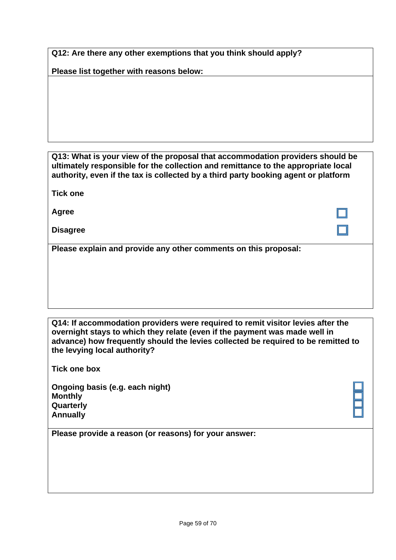**Q12: Are there any other exemptions that you think should apply?**

**Please list together with reasons below:**

**Q13: What is your view of the proposal that accommodation providers should be ultimately responsible for the collection and remittance to the appropriate local authority, even if the tax is collected by a third party booking agent or platform** 

**Tick one**

**Agree**

**Disagree** 

**Please explain and provide any other comments on this proposal:**

**Q14: If accommodation providers were required to remit visitor levies after the overnight stays to which they relate (even if the payment was made well in advance) how frequently should the levies collected be required to be remitted to the levying local authority?**

**Tick one box**

**Ongoing basis (e.g. each night) Monthly Quarterly Annually**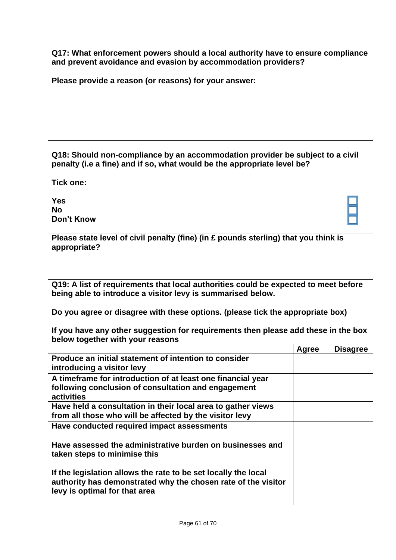**Q17: What enforcement powers should a local authority have to ensure compliance and prevent avoidance and evasion by accommodation providers?**

**Please provide a reason (or reasons) for your answer:**

**Q18: Should non-compliance by an accommodation provider be subject to a civil penalty (i.e a fine) and if so, what would be the appropriate level be?**

**Tick one:**

**Yes No Don't Know**

|              | Please state level of civil penalty (fine) (in £ pounds sterling) that you think is |
|--------------|-------------------------------------------------------------------------------------|
| appropriate? |                                                                                     |

**Q19: A list of requirements that local authorities could be expected to meet before being able to introduce a visitor levy is summarised below.** 

**Do you agree or disagree with these options. (please tick the appropriate box)**

**If you have any other suggestion for requirements then please add these in the box below together with your reasons**

|                                                                                                                                                                  | Agree | <b>Disagree</b> |
|------------------------------------------------------------------------------------------------------------------------------------------------------------------|-------|-----------------|
| Produce an initial statement of intention to consider<br>introducing a visitor levy                                                                              |       |                 |
| A timeframe for introduction of at least one financial year<br>following conclusion of consultation and engagement<br>activities                                 |       |                 |
| Have held a consultation in their local area to gather views<br>from all those who will be affected by the visitor levy                                          |       |                 |
| Have conducted required impact assessments                                                                                                                       |       |                 |
| Have assessed the administrative burden on businesses and<br>taken steps to minimise this                                                                        |       |                 |
| If the legislation allows the rate to be set locally the local<br>authority has demonstrated why the chosen rate of the visitor<br>levy is optimal for that area |       |                 |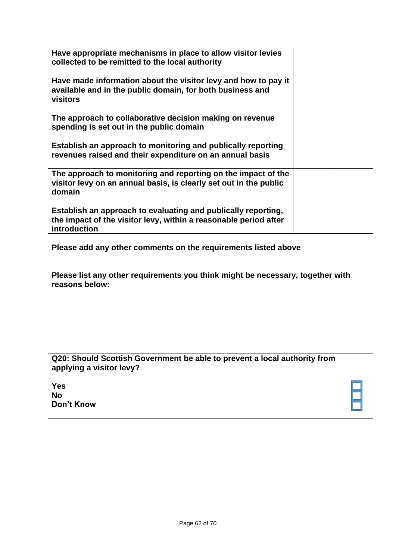| Have appropriate mechanisms in place to allow visitor levies<br>collected to be remitted to the local authority                                   |  |
|---------------------------------------------------------------------------------------------------------------------------------------------------|--|
| Have made information about the visitor levy and how to pay it<br>available and in the public domain, for both business and<br>visitors           |  |
| The approach to collaborative decision making on revenue<br>spending is set out in the public domain                                              |  |
| Establish an approach to monitoring and publically reporting<br>revenues raised and their expenditure on an annual basis                          |  |
| The approach to monitoring and reporting on the impact of the<br>visitor levy on an annual basis, is clearly set out in the public<br>domain      |  |
| Establish an approach to evaluating and publically reporting,<br>the impact of the visitor levy, within a reasonable period after<br>introduction |  |
| Please add any other comments on the requirements listed above                                                                                    |  |
| Please list any other requirements you think might be necessary, together with<br>reasons below:                                                  |  |
|                                                                                                                                                   |  |

| Q20: Should Scottish Government be able to prevent a local authority from |
|---------------------------------------------------------------------------|
| applying a visitor levy?                                                  |

| Don't Know |
|------------|
|            |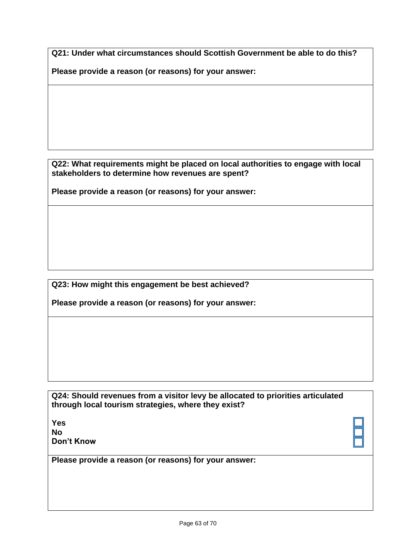**Q21: Under what circumstances should Scottish Government be able to do this?**

**Please provide a reason (or reasons) for your answer:**

**Q22: What requirements might be placed on local authorities to engage with local stakeholders to determine how revenues are spent?**

**Please provide a reason (or reasons) for your answer:**

**Q23: How might this engagement be best achieved?**

**Please provide a reason (or reasons) for your answer:**

**Q24: Should revenues from a visitor levy be allocated to priorities articulated through local tourism strategies, where they exist?**

**Yes No Don't Know**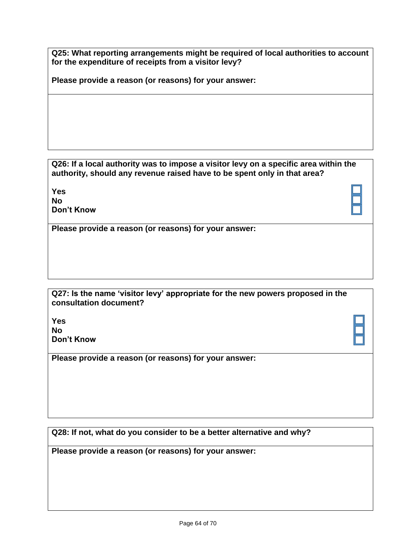**Q25: What reporting arrangements might be required of local authorities to account for the expenditure of receipts from a visitor levy?**

**Please provide a reason (or reasons) for your answer:**

**Q26: If a local authority was to impose a visitor levy on a specific area within the authority, should any revenue raised have to be spent only in that area?** 

**Yes No Don't Know**

**Please provide a reason (or reasons) for your answer:**

| Q27: Is the name 'visitor levy' appropriate for the new powers proposed in the |  |
|--------------------------------------------------------------------------------|--|
| consultation document?                                                         |  |

**Yes No Don't Know**

**Please provide a reason (or reasons) for your answer:**

**Q28: If not, what do you consider to be a better alternative and why?**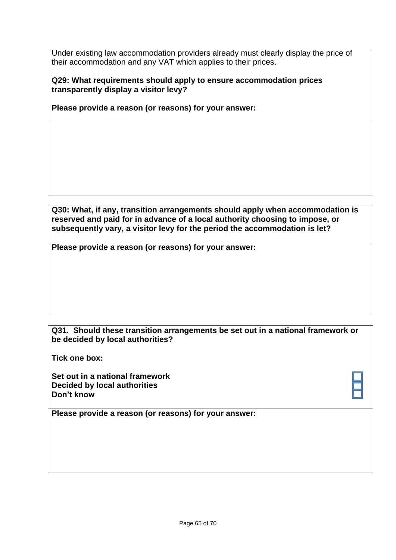Under existing law accommodation providers already must clearly display the price of their accommodation and any VAT which applies to their prices.

**Q29: What requirements should apply to ensure accommodation prices transparently display a visitor levy?**

**Please provide a reason (or reasons) for your answer:**

**Q30: What, if any, transition arrangements should apply when accommodation is reserved and paid for in advance of a local authority choosing to impose, or subsequently vary, a visitor levy for the period the accommodation is let?** 

**Please provide a reason (or reasons) for your answer:**

#### **Q31. Should these transition arrangements be set out in a national framework or be decided by local authorities?**

**Tick one box:**

**Set out in a national framework Decided by local authorities Don't know**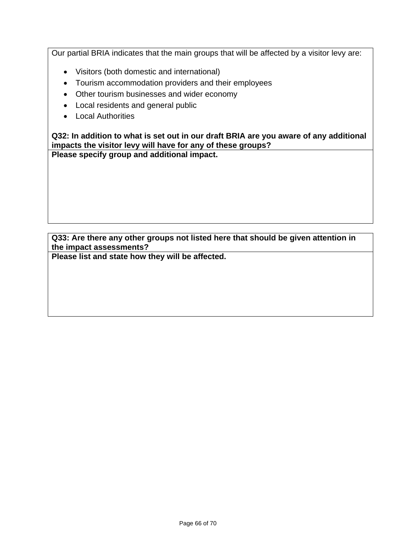Our partial BRIA indicates that the main groups that will be affected by a visitor levy are:

- Visitors (both domestic and international)
- Tourism accommodation providers and their employees
- Other tourism businesses and wider economy
- Local residents and general public
- Local Authorities

**Q32: In addition to what is set out in our draft BRIA are you aware of any additional impacts the visitor levy will have for any of these groups?** 

**Please specify group and additional impact.**

**Q33: Are there any other groups not listed here that should be given attention in the impact assessments?** 

**Please list and state how they will be affected.**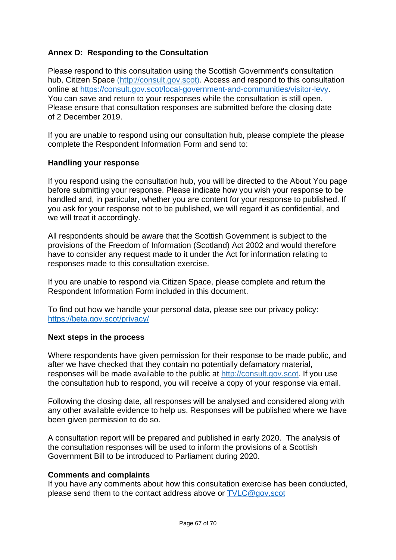# <span id="page-66-0"></span>**Annex D: Responding to the Consultation**

<span id="page-66-1"></span>Please respond to this consultation using the Scottish Government's consultation hub, Citizen Space [\(http://consult.gov.scot\)](http://consult.gov.scot/). Access and respond to this consultation online at [https://consult.gov.scot/local-government-and-communities/visitor-levy.](https://consult.gov.scot/local-government-and-communities/visitor-levy) You can save and return to your responses while the consultation is still open. Please ensure that consultation responses are submitted before the closing date of 2 December 2019.

If you are unable to respond using our consultation hub, please complete the please complete the Respondent Information Form and send to:

#### **Handling your response**

If you respond using the consultation hub, you will be directed to the About You page before submitting your response. Please indicate how you wish your response to be handled and, in particular, whether you are content for your response to published. If you ask for your response not to be published, we will regard it as confidential, and we will treat it accordingly.

All respondents should be aware that the Scottish Government is subject to the provisions of the Freedom of Information (Scotland) Act 2002 and would therefore have to consider any request made to it under the Act for information relating to responses made to this consultation exercise.

If you are unable to respond via Citizen Space, please complete and return the Respondent Information Form included in this document.

To find out how we handle your personal data, please see our privacy policy: <https://beta.gov.scot/privacy/>

#### **Next steps in the process**

Where respondents have given permission for their response to be made public, and after we have checked that they contain no potentially defamatory material, responses will be made available to the public at [http://consult.gov.scot.](http://consult.gov.scot/) If you use the consultation hub to respond, you will receive a copy of your response via email.

Following the closing date, all responses will be analysed and considered along with any other available evidence to help us. Responses will be published where we have been given permission to do so.

A consultation report will be prepared and published in early 2020. The analysis of the consultation responses will be used to inform the provisions of a Scottish Government Bill to be introduced to Parliament during 2020.

#### **Comments and complaints**

If you have any comments about how this consultation exercise has been conducted, please send them to the contact address above or [TVLC@gov.scot](mailto:TVLC@gov.scot)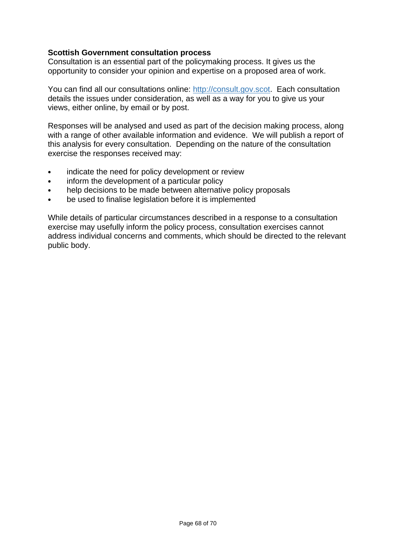### **Scottish Government consultation process**

Consultation is an essential part of the policymaking process. It gives us the opportunity to consider your opinion and expertise on a proposed area of work.

You can find all our consultations online: [http://consult.gov.scot.](http://consult.gov.scot/) Each consultation details the issues under consideration, as well as a way for you to give us your views, either online, by email or by post.

Responses will be analysed and used as part of the decision making process, along with a range of other available information and evidence. We will publish a report of this analysis for every consultation. Depending on the nature of the consultation exercise the responses received may:

- indicate the need for policy development or review
- inform the development of a particular policy
- help decisions to be made between alternative policy proposals
- be used to finalise legislation before it is implemented

While details of particular circumstances described in a response to a consultation exercise may usefully inform the policy process, consultation exercises cannot address individual concerns and comments, which should be directed to the relevant public body.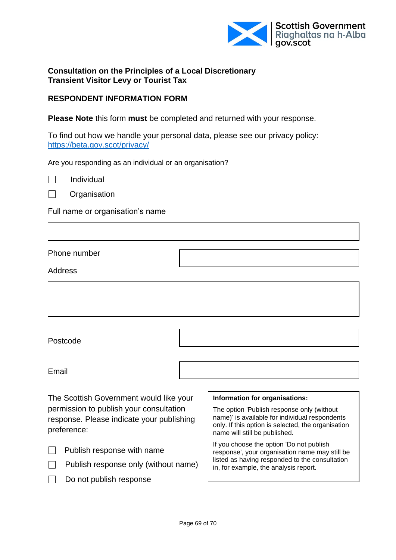

#### **Consultation on the Principles of a Local Discretionary Transient Visitor Levy or Tourist Tax**

#### **RESPONDENT INFORMATION FORM**

**Please Note** this form **must** be completed and returned with your response.

To find out how we handle your personal data, please see our privacy policy: <https://beta.gov.scot/privacy/>

Are you responding as an individual or an organisation?

 $\Box$  Individual

**N** Organisation

Full name or organisation's name

Phone number

Address

Postcode

Email

The Scottish Government would like your permission to publish your consultation response. Please indicate your publishing preference:

Publish response with name

- $\Box$  Publish response only (without name)
	- Do not publish response

#### **Information for organisations:**

The option 'Publish response only (without name)' is available for individual respondents only. If this option is selected, the organisation name will still be published.

If you choose the option 'Do not publish response', your organisation name may still be listed as having responded to the consultation in, for example, the analysis report.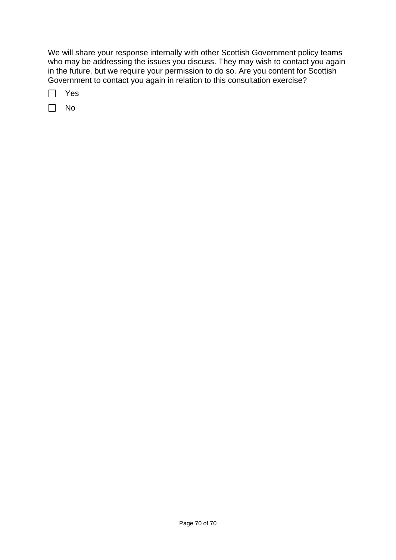We will share your response internally with other Scottish Government policy teams who may be addressing the issues you discuss. They may wish to contact you again in the future, but we require your permission to do so. Are you content for Scottish Government to contact you again in relation to this consultation exercise?

□ Yes

 $\Box$  No